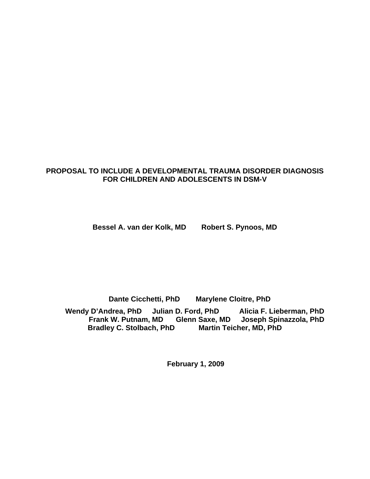# **PROPOSAL TO INCLUDE A DEVELOPMENTAL TRAUMA DISORDER DIAGNOSIS FOR CHILDREN AND ADOLESCENTS IN DSM-V**

**Bessel A. van der Kolk, MD Robert S. Pynoos, MD** 

**Dante Cicchetti, PhD Marylene Cloitre, PhD** 

Wendy D'Andrea, PhD Julian D. Ford, PhD Alicia F. Lieberman, PhD  **Frank W. Putnam, MD Glenn Saxe, MD Joseph Spinazzola, PhD Bradley C. Stolbach, PhD Martin Teicher, MD, PhD** 

**February 1, 2009**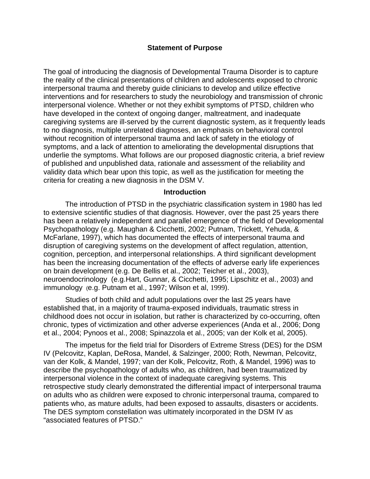#### **Statement of Purpose**

The goal of introducing the diagnosis of Developmental Trauma Disorder is to capture the reality of the clinical presentations of children and adolescents exposed to chronic interpersonal trauma and thereby guide clinicians to develop and utilize effective interventions and for researchers to study the neurobiology and transmission of chronic interpersonal violence. Whether or not they exhibit symptoms of PTSD, children who have developed in the context of ongoing danger, maltreatment, and inadequate caregiving systems are ill-served by the current diagnostic system, as it frequently leads to no diagnosis, multiple unrelated diagnoses, an emphasis on behavioral control without recognition of interpersonal trauma and lack of safety in the etiology of symptoms, and a lack of attention to ameliorating the developmental disruptions that underlie the symptoms. What follows are our proposed diagnostic criteria, a brief review of published and unpublished data, rationale and assessment of the reliability and validity data which bear upon this topic, as well as the justification for meeting the criteria for creating a new diagnosis in the DSM V.

#### **Introduction**

The introduction of PTSD in the psychiatric classification system in 1980 has led to extensive scientific studies of that diagnosis. However, over the past 25 years there has been a relatively independent and parallel emergence of the field of Developmental Psychopathology (e.g. Maughan & Cicchetti, 2002; Putnam, Trickett, Yehuda, & McFarlane, 1997), which has documented the effects of interpersonal trauma and disruption of caregiving systems on the development of affect regulation, attention, cognition, perception, and interpersonal relationships. A third significant development has been the increasing documentation of the effects of adverse early life experiences on brain development (e.g. De Bellis et al., 2002; Teicher et al., 2003), neuroendocrinology (e.g.Hart, Gunnar, & Cicchetti, 1995; Lipschitz et al., 2003) and immunology (e.g. Putnam et al., 1997; Wilson et al, 1999).

Studies of both child and adult populations over the last 25 years have established that, in a majority of trauma-exposed individuals, traumatic stress in childhood does not occur in isolation, but rather is characterized by co-occurring, often chronic, types of victimization and other adverse experiences (Anda et al., 2006; Dong et al., 2004; Pynoos et al., 2008; Spinazzola et al., 2005; van der Kolk et al, 2005).

The impetus for the field trial for Disorders of Extreme Stress (DES) for the DSM IV (Pelcovitz, Kaplan, DeRosa, Mandel, & Salzinger, 2000; Roth, Newman, Pelcovitz, van der Kolk, & Mandel, 1997; van der Kolk, Pelcovitz, Roth, & Mandel, 1996) was to describe the psychopathology of adults who, as children, had been traumatized by interpersonal violence in the context of inadequate caregiving systems. This retrospective study clearly demonstrated the differential impact of interpersonal trauma on adults who as children were exposed to chronic interpersonal trauma, compared to patients who, as mature adults, had been exposed to assaults, disasters or accidents. The DES symptom constellation was ultimately incorporated in the DSM IV as "associated features of PTSD."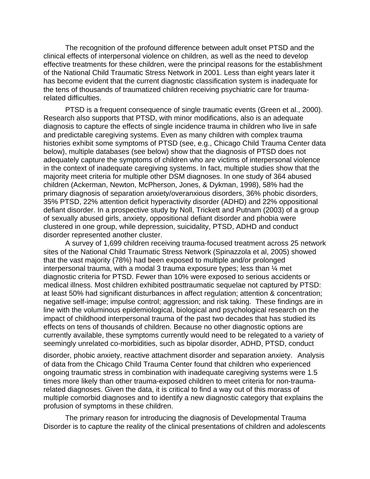The recognition of the profound difference between adult onset PTSD and the clinical effects of interpersonal violence on children, as well as the need to develop effective treatments for these children, were the principal reasons for the establishment of the National Child Traumatic Stress Network in 2001. Less than eight years later it has become evident that the current diagnostic classification system is inadequate for the tens of thousands of traumatized children receiving psychiatric care for traumarelated difficulties.

PTSD is a frequent consequence of single traumatic events (Green et al., 2000). Research also supports that PTSD, with minor modifications, also is an adequate diagnosis to capture the effects of single incidence trauma in children who live in safe and predictable caregiving systems. Even as many children with complex trauma histories exhibit some symptoms of PTSD (see, e.g., Chicago Child Trauma Center data below), multiple databases (see below) show that the diagnosis of PTSD does not adequately capture the symptoms of children who are victims of interpersonal violence in the context of inadequate caregiving systems. In fact, multiple studies show that the majority meet criteria for multiple other DSM diagnoses. In one study of 364 abused children (Ackerman, Newton, McPherson, Jones, & Dykman, 1998), 58% had the primary diagnosis of separation anxiety/overanxious disorders, 36% phobic disorders, 35% PTSD, 22% attention deficit hyperactivity disorder (ADHD) and 22% oppositional defiant disorder. In a prospective study by Noll, Trickett and Putnam (2003) of a group of sexually abused girls, anxiety, oppositional defiant disorder and phobia were clustered in one group, while depression, suicidality, PTSD, ADHD and conduct disorder represented another cluster.

A survey of 1,699 children receiving trauma-focused treatment across 25 network sites of the National Child Traumatic Stress Network (Spinazzola et al, 2005) showed that the vast majority (78%) had been exposed to multiple and/or prolonged interpersonal trauma, with a modal 3 trauma exposure types; less than ¼ met diagnostic criteria for PTSD. Fewer than 10% were exposed to serious accidents or medical illness. Most children exhibited posttraumatic sequelae not captured by PTSD: at least 50% had significant disturbances in affect regulation; attention & concentration; negative self-image; impulse control; aggression; and risk taking. These findings are in line with the voluminous epidemiological, biological and psychological research on the impact of childhood interpersonal trauma of the past two decades that has studied its effects on tens of thousands of children. Because no other diagnostic options are currently available, these symptoms currently would need to be relegated to a variety of seemingly unrelated co-morbidities, such as bipolar disorder, ADHD, PTSD, conduct

disorder, phobic anxiety, reactive attachment disorder and separation anxiety. Analysis of data from the Chicago Child Trauma Center found that children who experienced ongoing traumatic stress in combination with inadequate caregiving systems were 1.5 times more likely than other trauma-exposed children to meet criteria for non-traumarelated diagnoses. Given the data, it is critical to find a way out of this morass of multiple comorbid diagnoses and to identify a new diagnostic category that explains the profusion of symptoms in these children.

The primary reason for introducing the diagnosis of Developmental Trauma Disorder is to capture the reality of the clinical presentations of children and adolescents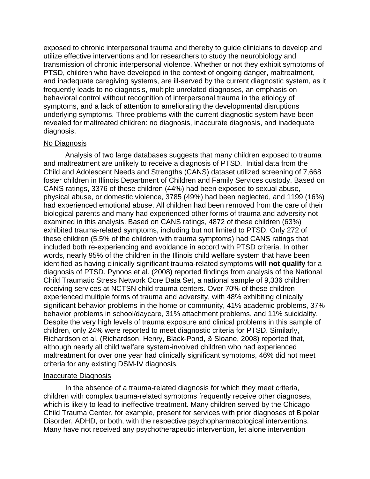exposed to chronic interpersonal trauma and thereby to guide clinicians to develop and utilize effective interventions and for researchers to study the neurobiology and transmission of chronic interpersonal violence. Whether or not they exhibit symptoms of PTSD, children who have developed in the context of ongoing danger, maltreatment, and inadequate caregiving systems, are ill-served by the current diagnostic system, as it frequently leads to no diagnosis, multiple unrelated diagnoses, an emphasis on behavioral control without recognition of interpersonal trauma in the etiology of symptoms, and a lack of attention to ameliorating the developmental disruptions underlying symptoms. Three problems with the current diagnostic system have been revealed for maltreated children: no diagnosis, inaccurate diagnosis, and inadequate diagnosis.

#### No Diagnosis

Analysis of two large databases suggests that many children exposed to trauma and maltreatment are unlikely to receive a diagnosis of PTSD. Initial data from the Child and Adolescent Needs and Strengths (CANS) dataset utilized screening of 7,668 foster children in Illinois Department of Children and Family Services custody. Based on CANS ratings, 3376 of these children (44%) had been exposed to sexual abuse, physical abuse, or domestic violence, 3785 (49%) had been neglected, and 1199 (16%) had experienced emotional abuse. All children had been removed from the care of their biological parents and many had experienced other forms of trauma and adversity not examined in this analysis. Based on CANS ratings, 4872 of these children (63%) exhibited trauma-related symptoms, including but not limited to PTSD. Only 272 of these children (5.5% of the children with trauma symptoms) had CANS ratings that included both re-experiencing and avoidance in accord with PTSD criteria. In other words, nearly 95% of the children in the Illinois child welfare system that have been identified as having clinically significant trauma-related symptoms **will not qualify** for a diagnosis of PTSD. Pynoos et al. (2008) reported findings from analysis of the National Child Traumatic Stress Network Core Data Set, a national sample of 9,336 children receiving services at NCTSN child trauma centers. Over 70% of these children experienced multiple forms of trauma and adversity, with 48% exhibiting clinically significant behavior problems in the home or community, 41% academic problems, 37% behavior problems in school/daycare, 31% attachment problems, and 11% suicidality. Despite the very high levels of trauma exposure and clinical problems in this sample of children, only 24% were reported to meet diagnostic criteria for PTSD. Similarly, Richardson et al. (Richardson, Henry, Black-Pond, & Sloane, 2008) reported that, although nearly all child welfare system-involved children who had experienced maltreatment for over one year had clinically significant symptoms, 46% did not meet criteria for any existing DSM-IV diagnosis.

#### Inaccurate Diagnosis

In the absence of a trauma-related diagnosis for which they meet criteria, children with complex trauma-related symptoms frequently receive other diagnoses, which is likely to lead to ineffective treatment. Many children served by the Chicago Child Trauma Center, for example, present for services with prior diagnoses of Bipolar Disorder, ADHD, or both, with the respective psychopharmacological interventions. Many have not received any psychotherapeutic intervention, let alone intervention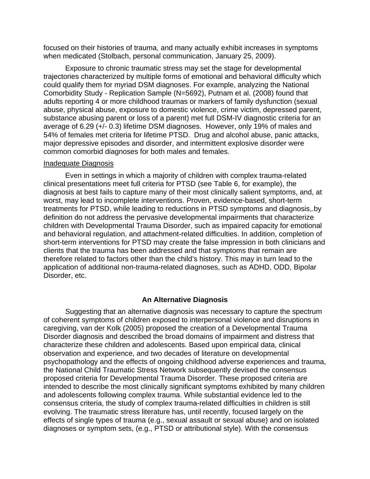focused on their histories of trauma, and many actually exhibit increases in symptoms when medicated (Stolbach, personal communication, January 25, 2009).

Exposure to chronic traumatic stress may set the stage for developmental trajectories characterized by multiple forms of emotional and behavioral difficulty which could qualify them for myriad DSM diagnoses. For example, analyzing the National Comorbidity Study - Replication Sample (N=5692), Putnam et al. (2008) found that adults reporting 4 or more childhood traumas or markers of family dysfunction (sexual abuse, physical abuse, exposure to domestic violence, crime victim, depressed parent, substance abusing parent or loss of a parent) met full DSM-IV diagnostic criteria for an average of 6.29 (+/- 0.3) lifetime DSM diagnoses. However, only 19% of males and 54% of females met criteria for lifetime PTSD. Drug and alcohol abuse, panic attacks, major depressive episodes and disorder, and intermittent explosive disorder were common comorbid diagnoses for both males and females.

#### Inadequate Diagnosis

Even in settings in which a majority of children with complex trauma-related clinical presentations meet full criteria for PTSD (see Table 6, for example), the diagnosis at best fails to capture many of their most clinically salient symptoms, and, at worst, may lead to incomplete interventions. Proven, evidence-based, short-term treatments for PTSD, while leading to reductions in PTSD symptoms and diagnosis,.by definition do not address the pervasive developmental impairments that characterize children with Developmental Trauma Disorder, such as impaired capacity for emotional and behavioral regulation, and attachment-related difficulties. In addition, completion of short-term interventions for PTSD may create the false impression in both clinicians and clients that the trauma has been addressed and that symptoms that remain are therefore related to factors other than the child's history. This may in turn lead to the application of additional non-trauma-related diagnoses, such as ADHD, ODD, Bipolar Disorder, etc.

#### **An Alternative Diagnosis**

Suggesting that an alternative diagnosis was necessary to capture the spectrum of coherent symptoms of children exposed to interpersonal violence and disruptions in caregiving, van der Kolk (2005) proposed the creation of a Developmental Trauma Disorder diagnosis and described the broad domains of impairment and distress that characterize these children and adolescents. Based upon empirical data, clinical observation and experience, and two decades of literature on developmental psychopathology and the effects of ongoing childhood adverse experiences and trauma, the National Child Traumatic Stress Network subsequently devised the consensus proposed criteria for Developmental Trauma Disorder. These proposed criteria are intended to describe the most clinically significant symptoms exhibited by many children and adolescents following complex trauma. While substantial evidence led to the consensus criteria, the study of complex trauma-related difficulties in children is still evolving. The traumatic stress literature has, until recently, focused largely on the effects of single types of trauma (e.g., sexual assault or sexual abuse) and on isolated diagnoses or symptom sets, (e.g., PTSD or attributional style). With the consensus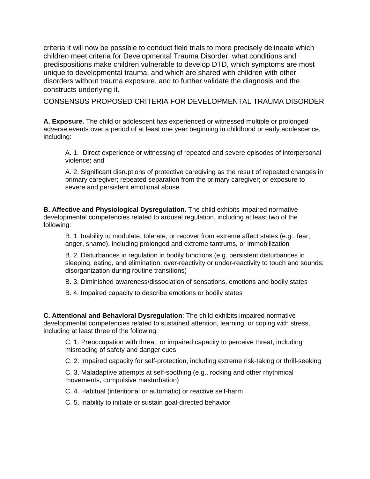criteria it will now be possible to conduct field trials to more precisely delineate which children meet criteria for Developmental Trauma Disorder, what conditions and predispositions make children vulnerable to develop DTD, which symptoms are most unique to developmental trauma, and which are shared with children with other disorders without trauma exposure, and to further validate the diagnosis and the constructs underlying it.

CONSENSUS PROPOSED CRITERIA FOR DEVELOPMENTAL TRAUMA DISORDER

**A. Exposure.** The child or adolescent has experienced or witnessed multiple or prolonged adverse events over a period of at least one year beginning in childhood or early adolescence, including:

A. 1. Direct experience or witnessing of repeated and severe episodes of interpersonal violence; and

A. 2. Significant disruptions of protective caregiving as the result of repeated changes in primary caregiver; repeated separation from the primary caregiver; or exposure to severe and persistent emotional abuse

**B. Affective and Physiological Dysregulation.** The child exhibits impaired normative developmental competencies related to arousal regulation, including at least two of the following:

B. 1. Inability to modulate, tolerate, or recover from extreme affect states (e.g., fear, anger, shame), including prolonged and extreme tantrums, or immobilization

B. 2. Disturbances in regulation in bodily functions (e.g. persistent disturbances in sleeping, eating, and elimination; over-reactivity or under-reactivity to touch and sounds; disorganization during routine transitions)

B. 3. Diminished awareness/dissociation of sensations, emotions and bodily states

B. 4. Impaired capacity to describe emotions or bodily states

**C. Attentional and Behavioral Dysregulation**: The child exhibits impaired normative developmental competencies related to sustained attention, learning, or coping with stress, including at least three of the following:

C. 1. Preoccupation with threat, or impaired capacity to perceive threat, including misreading of safety and danger cues

C. 2. Impaired capacity for self-protection, including extreme risk-taking or thrill-seeking

C. 3. Maladaptive attempts at self-soothing (e.g., rocking and other rhythmical movements, compulsive masturbation)

C. 4. Habitual (intentional or automatic) or reactive self-harm

C. 5. Inability to initiate or sustain goal-directed behavior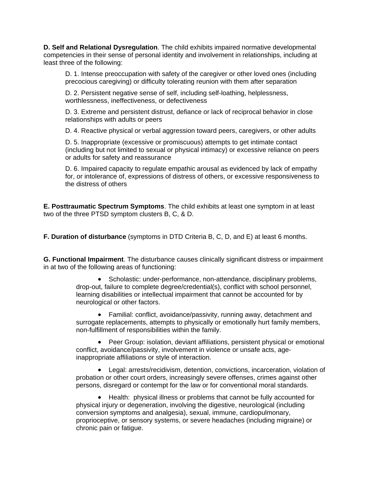**D. Self and Relational Dysregulation**. The child exhibits impaired normative developmental competencies in their sense of personal identity and involvement in relationships, including at least three of the following:

D. 1. Intense preoccupation with safety of the caregiver or other loved ones (including precocious caregiving) or difficulty tolerating reunion with them after separation

D. 2. Persistent negative sense of self, including self-loathing, helplessness, worthlessness, ineffectiveness, or defectiveness

D. 3. Extreme and persistent distrust, defiance or lack of reciprocal behavior in close relationships with adults or peers

D. 4. Reactive physical or verbal aggression toward peers, caregivers, or other adults

D. 5. Inappropriate (excessive or promiscuous) attempts to get intimate contact (including but not limited to sexual or physical intimacy) or excessive reliance on peers or adults for safety and reassurance

D. 6. Impaired capacity to regulate empathic arousal as evidenced by lack of empathy for, or intolerance of, expressions of distress of others, or excessive responsiveness to the distress of others

**E. Posttraumatic Spectrum Symptoms**. The child exhibits at least one symptom in at least two of the three PTSD symptom clusters B, C, & D.

**F. Duration of disturbance** (symptoms in DTD Criteria B, C, D, and E) at least 6 months.

**G. Functional Impairment**. The disturbance causes clinically significant distress or impairment in at two of the following areas of functioning:

> • Scholastic: under-performance, non-attendance, disciplinary problems, drop-out, failure to complete degree/credential(s), conflict with school personnel, learning disabilities or intellectual impairment that cannot be accounted for by neurological or other factors.

• Familial: conflict, avoidance/passivity, running away, detachment and surrogate replacements, attempts to physically or emotionally hurt family members, non-fulfillment of responsibilities within the family.

• Peer Group: isolation, deviant affiliations, persistent physical or emotional conflict, avoidance/passivity, involvement in violence or unsafe acts, ageinappropriate affiliations or style of interaction.

• Legal: arrests/recidivism, detention, convictions, incarceration, violation of probation or other court orders, increasingly severe offenses, crimes against other persons, disregard or contempt for the law or for conventional moral standards.

• Health: physical illness or problems that cannot be fully accounted for physical injury or degeneration, involving the digestive, neurological (including conversion symptoms and analgesia), sexual, immune, cardiopulmonary, proprioceptive, or sensory systems, or severe headaches (including migraine) or chronic pain or fatigue.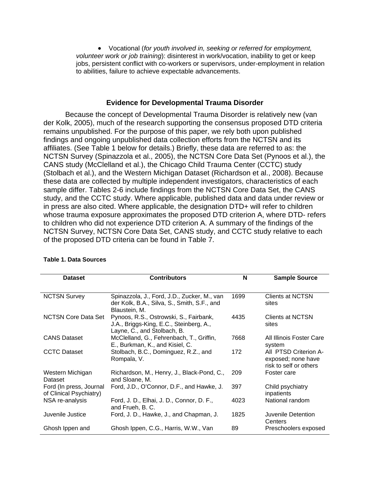• Vocational (*for youth involved in, seeking or referred for employment, volunteer work or job training*): disinterest in work/vocation, inability to get or keep jobs, persistent conflict with co-workers or supervisors, under-employment in relation to abilities, failure to achieve expectable advancements.

#### **Evidence for Developmental Trauma Disorder**

Because the concept of Developmental Trauma Disorder is relatively new (van der Kolk, 2005), much of the research supporting the consensus proposed DTD criteria remains unpublished. For the purpose of this paper, we rely both upon published findings and ongoing unpublished data collection efforts from the NCTSN and its affiliates. (See Table 1 below for details.) Briefly, these data are referred to as: the NCTSN Survey (Spinazzola et al., 2005), the NCTSN Core Data Set (Pynoos et al.), the CANS study (McClelland et al.), the Chicago Child Trauma Center (CCTC) study (Stolbach et al.), and the Western Michigan Dataset (Richardson et al., 2008). Because these data are collected by multiple independent investigators, characteristics of each sample differ. Tables 2-6 include findings from the NCTSN Core Data Set, the CANS study, and the CCTC study. Where applicable, published data and data under review or in press are also cited. Where applicable, the designation DTD+ will refer to children whose trauma exposure approximates the proposed DTD criterion A, where DTD- refers to children who did not experience DTD criterion A. A summary of the findings of the NCTSN Survey, NCTSN Core Data Set, CANS study, and CCTC study relative to each of the proposed DTD criteria can be found in Table 7.

| <b>Dataset</b>                                     | <b>Contributors</b>                                                                                              | N    | <b>Sample Source</b>                                                  |  |  |  |
|----------------------------------------------------|------------------------------------------------------------------------------------------------------------------|------|-----------------------------------------------------------------------|--|--|--|
|                                                    |                                                                                                                  |      |                                                                       |  |  |  |
| <b>NCTSN Survey</b>                                | Spinazzola, J., Ford, J.D., Zucker, M., van<br>der Kolk, B.A., Silva, S., Smith, S.F., and<br>Blaustein, M.      | 1699 | <b>Clients at NCTSN</b><br>sites                                      |  |  |  |
| <b>NCTSN Core Data Set</b>                         | Pynoos, R.S., Ostrowski, S., Fairbank,<br>J.A., Briggs-King, E.C., Steinberg, A.,<br>Layne, C., and Stolbach, B. | 4435 | Clients at NCTSN<br>sites                                             |  |  |  |
| <b>CANS Dataset</b>                                | McClelland, G., Fehrenbach, T., Griffin,<br>E., Burkman, K., and Kisiel, C.                                      | 7668 | All Illinois Foster Care<br>system                                    |  |  |  |
| <b>CCTC Dataset</b>                                | Stolbach, B.C., Dominguez, R.Z., and<br>Rompala, V.                                                              | 172  | All PTSD Criterion A-<br>exposed; none have<br>risk to self or others |  |  |  |
| Western Michigan<br>Dataset                        | Richardson, M., Henry, J., Black-Pond, C.,<br>and Sloane, M.                                                     | 209  | Foster care                                                           |  |  |  |
| Ford (In press, Journal<br>of Clinical Psychiatry) | Ford, J.D., O'Connor, D.F., and Hawke, J.                                                                        | 397  | Child psychiatry<br>inpatients                                        |  |  |  |
| NSA re-analysis                                    | Ford, J. D., Elhai, J. D., Connor, D. F.,<br>and Frueh, B. C.                                                    | 4023 | National random                                                       |  |  |  |
| Juvenile Justice                                   | Ford, J. D., Hawke, J., and Chapman, J.                                                                          | 1825 | Juvenile Detention<br>Centers                                         |  |  |  |
| Ghosh Ippen and                                    | Ghosh Ippen, C.G., Harris, W.W., Van                                                                             | 89   | Preschoolers exposed                                                  |  |  |  |

#### **Table 1. Data Sources**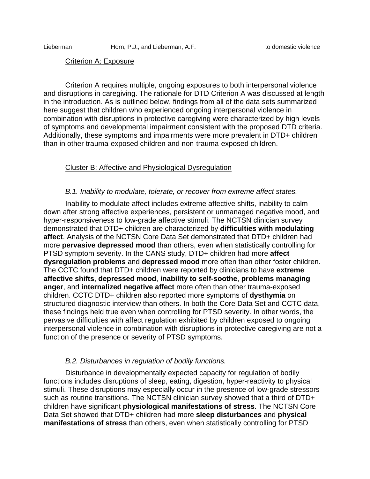#### Criterion A: Exposure

 Criterion A requires multiple, ongoing exposures to both interpersonal violence and disruptions in caregiving. The rationale for DTD Criterion A was discussed at length in the introduction. As is outlined below, findings from all of the data sets summarized here suggest that children who experienced ongoing interpersonal violence in combination with disruptions in protective caregiving were characterized by high levels of symptoms and developmental impairment consistent with the proposed DTD criteria. Additionally, these symptoms and impairments were more prevalent in DTD+ children than in other trauma-exposed children and non-trauma-exposed children.

#### Cluster B: Affective and Physiological Dysregulation

#### *B.1. Inability to modulate, tolerate, or recover from extreme affect states.*

Inability to modulate affect includes extreme affective shifts, inability to calm down after strong affective experiences, persistent or unmanaged negative mood, and hyper-responsiveness to low-grade affective stimuli. The NCTSN clinician survey demonstrated that DTD+ children are characterized by **difficulties with modulating affect**. Analysis of the NCTSN Core Data Set demonstrated that DTD+ children had more **pervasive depressed mood** than others, even when statistically controlling for PTSD symptom severity. In the CANS study, DTD+ children had more **affect dysregulation problems** and **depressed mood** more often than other foster children. The CCTC found that DTD+ children were reported by clinicians to have **extreme affective shifts**, **depressed mood**, **inability to self-soothe**, **problems managing anger**, and **internalized negative affect** more often than other trauma-exposed children. CCTC DTD+ children also reported more symptoms of **dysthymia** on structured diagnostic interview than others. In both the Core Data Set and CCTC data, these findings held true even when controlling for PTSD severity. In other words, the pervasive difficulties with affect regulation exhibited by children exposed to ongoing interpersonal violence in combination with disruptions in protective caregiving are not a function of the presence or severity of PTSD symptoms.

#### *B.2. Disturbances in regulation of bodily functions.*

Disturbance in developmentally expected capacity for regulation of bodily functions includes disruptions of sleep, eating, digestion, hyper-reactivity to physical stimuli. These disruptions may especially occur in the presence of low-grade stressors such as routine transitions. The NCTSN clinician survey showed that a third of DTD+ children have significant **physiological manifestations of stress**. The NCTSN Core Data Set showed that DTD+ children had more **sleep disturbances** and **physical manifestations of stress** than others, even when statistically controlling for PTSD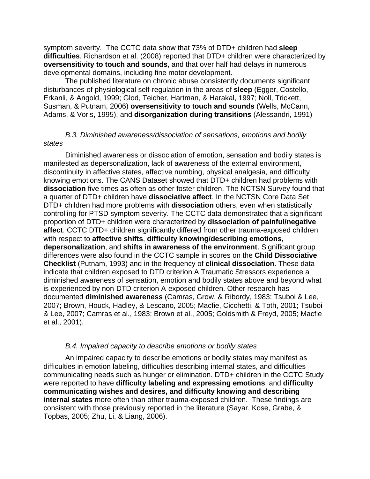symptom severity. The CCTC data show that 73% of DTD+ children had **sleep difficulties**. Richardson et al. (2008) reported that DTD+ children were characterized by **oversensitivity to touch and sounds**, and that over half had delays in numerous developmental domains, including fine motor development.

The published literature on chronic abuse consistently documents significant disturbances of physiological self-regulation in the areas of **sleep** (Egger, Costello, Erkanli, & Angold, 1999; Glod, Teicher, Hartman, & Harakal, 1997; Noll, Trickett, Susman, & Putnam, 2006) **oversensitivity to touch and sounds** (Wells, McCann, Adams, & Voris, 1995), and **disorganization during transitions** (Alessandri, 1991)

### *B.3. Diminished awareness/dissociation of sensations, emotions and bodily states*

Diminished awareness or dissociation of emotion, sensation and bodily states is manifested as depersonalization, lack of awareness of the external environment, discontinuity in affective states, affective numbing, physical analgesia, and difficulty knowing emotions. The CANS Dataset showed that DTD+ children had problems with **dissociation** five times as often as other foster children. The NCTSN Survey found that a quarter of DTD+ children have **dissociative affect**. In the NCTSN Core Data Set DTD+ children had more problems with **dissociation** others, even when statistically controlling for PTSD symptom severity. The CCTC data demonstrated that a significant proportion of DTD+ children were characterized by **dissociation of painful/negative affect**. CCTC DTD+ children significantly differed from other trauma-exposed children with respect to **affective shifts**, **difficulty knowing/describing emotions, depersonalization**, and **shifts in awareness of the environment**. Significant group differences were also found in the CCTC sample in scores on the **Child Dissociative Checklist** (Putnam, 1993) and in the frequency of **clinical dissociation**. These data indicate that children exposed to DTD criterion A Traumatic Stressors experience a diminished awareness of sensation, emotion and bodily states above and beyond what is experienced by non-DTD criterion A-exposed children. Other research has documented **diminished awareness** (Camras, Grow, & Ribordy, 1983; Tsuboi & Lee, 2007; Brown, Houck, Hadley, & Lescano, 2005; Macfie, Cicchetti, & Toth, 2001; Tsuboi & Lee, 2007; Camras et al., 1983; Brown et al., 2005; Goldsmith & Freyd, 2005; Macfie et al., 2001).

#### *B.4. Impaired capacity to describe emotions or bodily states*

An impaired capacity to describe emotions or bodily states may manifest as difficulties in emotion labeling, difficulties describing internal states, and difficulties communicating needs such as hunger or elimination. DTD+ children in the CCTC Study were reported to have **difficulty labeling and expressing emotions**, and **difficulty communicating wishes and desires, and difficulty knowing and describing internal states** more often than other trauma-exposed children. These findings are consistent with those previously reported in the literature (Sayar, Kose, Grabe, & Topbas, 2005; Zhu, Li, & Liang, 2006).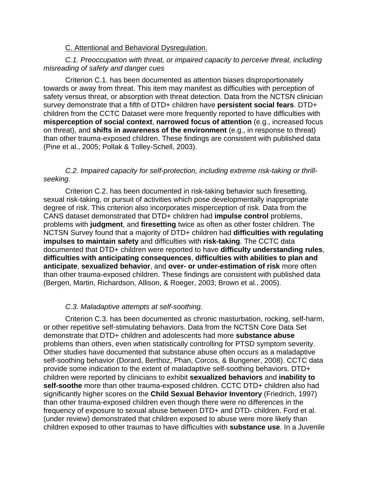### C. Attentional and Behavioral Dysregulation.

## *C.1. Preoccupation with threat, or impaired capacity to perceive threat, including misreading of safety and danger cues*

Criterion C.1. has been documented as attention biases disproportionately towards or away from threat. This item may manifest as difficulties with perception of safety versus threat, or absorption with threat detection. Data from the NCTSN clinician survey demonstrate that a fifth of DTD+ children have **persistent social fears**. DTD+ children from the CCTC Dataset were more frequently reported to have difficulties with **misperception of social context**, **narrowed focus of attention** (e.g., increased focus on threat), and **shifts in awareness of the environment** (e.g., in response to threat) than other trauma-exposed children. These findings are consistent with published data (Pine et al., 2005; Pollak & Tolley-Schell, 2003).

## *C.2. Impaired capacity for self-protection, including extreme risk-taking or thrillseeking.*

Criterion C.2. has been documented in risk-taking behavior such firesetting, sexual risk-taking, or pursuit of activities which pose developmentally inappropriate degree of risk. This criterion also incorporates misperception of risk. Data from the CANS dataset demonstrated that DTD+ children had **impulse control** problems, problems with **judgment**, and **firesetting** twice as often as other foster children. The NCTSN Survey found that a majority of DTD+ children had **difficulties with regulating impulses to maintain safety** and difficulties with **risk-taking**. The CCTC data documented that DTD+ children were reported to have **difficulty understanding rules**, **difficulties with anticipating consequences**, **difficulties with abilities to plan and anticipate**, **sexualized behavior**, and **over- or under-estimation of risk** more often than other trauma-exposed children. These findings are consistent with published data (Bergen, Martin, Richardson, Allison, & Roeger, 2003; Brown et al., 2005).

# *C.3. Maladaptive attempts at self-soothing.*

Criterion C.3. has been documented as chronic masturbation, rocking, self-harm, or other repetitive self-stimulating behaviors. Data from the NCTSN Core Data Set demonstrate that DTD+ children and adolescents had more **substance abuse** problems than others, even when statistically controlling for PTSD symptom severity. Other studies have documented that substance abuse often occurs as a maladaptive self-soothing behavior (Dorard, Berthoz, Phan, Corcos, & Bungener, 2008). CCTC data provide some indication to the extent of maladaptive self-soothing behaviors. DTD+ children were reported by clinicians to exhibit **sexualized behaviors** and **inability to self-soothe** more than other trauma-exposed children. CCTC DTD+ children also had significantly higher scores on the **Child Sexual Behavior Inventory** (Friedrich, 1997) than other trauma-exposed children even though there were no differences in the frequency of exposure to sexual abuse between DTD+ and DTD- children. Ford et al. (under review) demonstrated that children exposed to abuse were more likely than children exposed to other traumas to have difficulties with **substance use**. In a Juvenile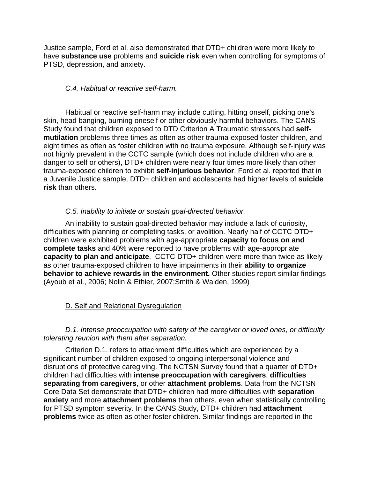Justice sample, Ford et al. also demonstrated that DTD+ children were more likely to have **substance use** problems and **suicide risk** even when controlling for symptoms of PTSD, depression, and anxiety.

# *C.4. Habitual or reactive self-harm.*

Habitual or reactive self-harm may include cutting, hitting onself, picking one's skin, head banging, burning oneself or other obviously harmful behaviors. The CANS Study found that children exposed to DTD Criterion A Traumatic stressors had **selfmutilation** problems three times as often as other trauma-exposed foster children, and eight times as often as foster children with no trauma exposure. Although self-injury was not highly prevalent in the CCTC sample (which does not include children who are a danger to self or others), DTD+ children were nearly four times more likely than other trauma-exposed children to exhibit **self-injurious behavior**. Ford et al. reported that in a Juvenile Justice sample, DTD+ children and adolescents had higher levels of **suicide risk** than others.

# *C.5. Inability to initiate or sustain goal-directed behavior.*

An inability to sustain goal-directed behavior may include a lack of curiosity, difficulties with planning or completing tasks, or avolition. Nearly half of CCTC DTD+ children were exhibited problems with age-appropriate **capacity to focus on and complete tasks** and 40% were reported to have problems with age-appropriate **capacity to plan and anticipate**. CCTC DTD+ children were more than twice as likely as other trauma-exposed children to have impairments in their **ability to organize behavior to achieve rewards in the environment.** Other studies report similar findings (Ayoub et al., 2006; Nolin & Ethier, 2007;Smith & Walden, 1999)

# D. Self and Relational Dysregulation

## *D.1. Intense preoccupation with safety of the caregiver or loved ones, or difficulty tolerating reunion with them after separation.*

Criterion D.1. refers to attachment difficulties which are experienced by a significant number of children exposed to ongoing interpersonal violence and disruptions of protective caregiving. The NCTSN Survey found that a quarter of DTD+ children had difficulties with **intense preoccupation with caregivers**, **difficulties separating from caregivers**, or other **attachment problems**. Data from the NCTSN Core Data Set demonstrate that DTD+ children had more difficulties with **separation anxiety** and more **attachment problems** than others, even when statistically controlling for PTSD symptom severity. In the CANS Study, DTD+ children had **attachment problems** twice as often as other foster children. Similar findings are reported in the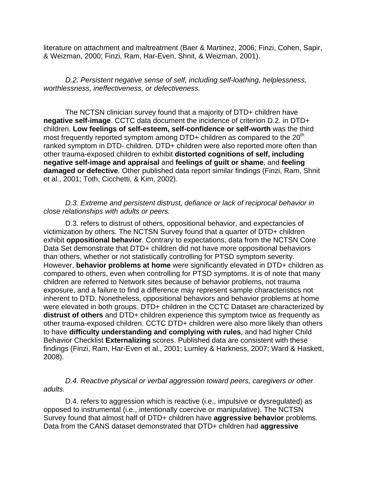literature on attachment and maltreatment (Baer & Martinez, 2006; Finzi, Cohen, Sapir, & Weizman, 2000; Finzi, Ram, Har-Even, Shnit, & Weizman, 2001).

*D.2. Persistent negative sense of self, including self-loathing, helplessness, worthlessness, ineffectiveness, or defectiveness.* 

The NCTSN clinician survey found that a majority of DTD+ children have **negative self-image**. CCTC data document the incidence of criterion D.2. in DTD+ children. **Low feelings of self-esteem, self-confidence or self-worth** was the third most frequently reported symptom among DTD+ children as compared to the 20<sup>th</sup> ranked symptom in DTD- children. DTD+ children were also reported more often than other trauma-exposed children to exhibit **distorted cognitions of self, including negative self-image and appraisal** and **feelings of guilt or shame**, and **feeling damaged or defective**. Other published data report similar findings (Finzi, Ram, Shnit et al., 2001; Toth, Cicchetti, & Kim, 2002).

### *D.3. Extreme and persistent distrust, defiance or lack of reciprocal behavior in close relationships with adults or peers.*

D.3. refers to distrust of others, oppositional behavior, and expectancies of victimization by others. The NCTSN Survey found that a quarter of DTD+ children exhibit **oppositional behavior**. Contrary to expectations, data from the NCTSN Core Data Set demonstrate that DTD+ children did not have more oppositional behaviors than others, whether or not statistically controlling for PTSD symptom severity. However, **behavior problems at home** were significantly elevated in DTD+ children as compared to others, even when controlling for PTSD symptoms. It is of note that many children are referred to Network sites because of behavior problems, not trauma exposure, and a failure to find a difference may represent sample characteristics not inherent to DTD. Nonetheless, oppositional behaviors and behavior problems at home were elevated in both groups. DTD+ children in the CCTC Dataset are characterized by **distrust of others** and DTD+ children experience this symptom twice as frequently as other trauma-exposed children. CCTC DTD+ children were also more likely than others to have **difficulty understanding and complying with rules**, and had higher Child Behavior Checklist **Externalizing** scores. Published data are consistent with these findings (Finzi, Ram, Har-Even et al., 2001; Lumley & Harkness, 2007; Ward & Haskett, 2008).

*D.4. Reactive physical or verbal aggression toward peers, caregivers or other adults.* 

D.4. refers to aggression which is reactive (i.e., impulsive or dysregulated) as opposed to instrumental (i.e., intentionally coercive or manipulative). The NCTSN Survey found that almost half of DTD+ children have **aggressive behavior** problems. Data from the CANS dataset demonstrated that DTD+ children had **aggressive**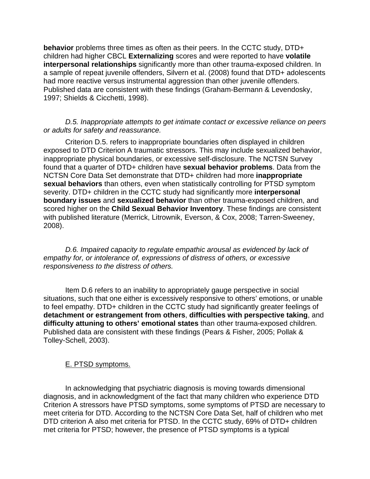**behavior** problems three times as often as their peers. In the CCTC study, DTD+ children had higher CBCL **Externalizing** scores and were reported to have **volatile interpersonal relationships** significantly more than other trauma-exposed children. In a sample of repeat juvenile offenders, Silvern et al. (2008) found that DTD+ adolescents had more reactive versus instrumental aggression than other juvenile offenders. Published data are consistent with these findings (Graham-Bermann & Levendosky, 1997; Shields & Cicchetti, 1998).

#### *D.5. Inappropriate attempts to get intimate contact or excessive reliance on peers or adults for safety and reassurance.*

Criterion D.5. refers to inappropriate boundaries often displayed in children exposed to DTD Criterion A traumatic stressors. This may include sexualized behavior, inappropriate physical boundaries, or excessive self-disclosure. The NCTSN Survey found that a quarter of DTD+ children have **sexual behavior problems**. Data from the NCTSN Core Data Set demonstrate that DTD+ children had more **inappropriate sexual behaviors** than others, even when statistically controlling for PTSD symptom severity. DTD+ children in the CCTC study had significantly more **interpersonal boundary issues** and **sexualized behavior** than other trauma-exposed children, and scored higher on the **Child Sexual Behavior Inventory**. These findings are consistent with published literature (Merrick, Litrownik, Everson, & Cox, 2008; Tarren-Sweeney, 2008).

*D.6. Impaired capacity to regulate empathic arousal as evidenced by lack of empathy for, or intolerance of, expressions of distress of others, or excessive responsiveness to the distress of others.* 

Item D.6 refers to an inability to appropriately gauge perspective in social situations, such that one either is excessively responsive to others' emotions, or unable to feel empathy. DTD+ children in the CCTC study had significantly greater feelings of **detachment or estrangement from others**, **difficulties with perspective taking**, and **difficulty attuning to others' emotional states** than other trauma-exposed children. Published data are consistent with these findings (Pears & Fisher, 2005; Pollak & Tolley-Schell, 2003).

## E. PTSD symptoms.

In acknowledging that psychiatric diagnosis is moving towards dimensional diagnosis, and in acknowledgment of the fact that many children who experience DTD Criterion A stressors have PTSD symptoms, some symptoms of PTSD are necessary to meet criteria for DTD. According to the NCTSN Core Data Set, half of children who met DTD criterion A also met criteria for PTSD. In the CCTC study, 69% of DTD+ children met criteria for PTSD; however, the presence of PTSD symptoms is a typical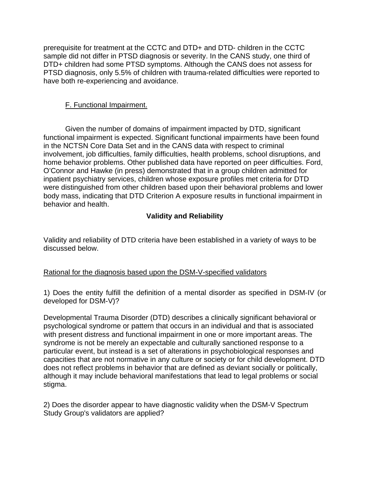prerequisite for treatment at the CCTC and DTD+ and DTD- children in the CCTC sample did not differ in PTSD diagnosis or severity. In the CANS study, one third of DTD+ children had some PTSD symptoms. Although the CANS does not assess for PTSD diagnosis, only 5.5% of children with trauma-related difficulties were reported to have both re-experiencing and avoidance.

# F. Functional Impairment.

Given the number of domains of impairment impacted by DTD, significant functional impairment is expected. Significant functional impairments have been found in the NCTSN Core Data Set and in the CANS data with respect to criminal involvement, job difficulties, family difficulties, health problems, school disruptions, and home behavior problems. Other published data have reported on peer difficulties. Ford, O'Connor and Hawke (in press) demonstrated that in a group children admitted for inpatient psychiatry services, children whose exposure profiles met criteria for DTD were distinguished from other children based upon their behavioral problems and lower body mass, indicating that DTD Criterion A exposure results in functional impairment in behavior and health.

# **Validity and Reliability**

Validity and reliability of DTD criteria have been established in a variety of ways to be discussed below.

## Rational for the diagnosis based upon the DSM-V-specified validators

1) Does the entity fulfill the definition of a mental disorder as specified in DSM-IV (or developed for DSM-V)?

Developmental Trauma Disorder (DTD) describes a clinically significant behavioral or psychological syndrome or pattern that occurs in an individual and that is associated with present distress and functional impairment in one or more important areas. The syndrome is not be merely an expectable and culturally sanctioned response to a particular event, but instead is a set of alterations in psychobiological responses and capacities that are not normative in any culture or society or for child development. DTD does not reflect problems in behavior that are defined as deviant socially or politically, although it may include behavioral manifestations that lead to legal problems or social stigma.

2) Does the disorder appear to have diagnostic validity when the DSM-V Spectrum Study Group's validators are applied?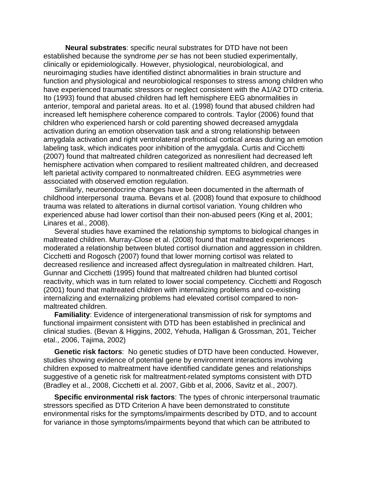**Neural substrates**: specific neural substrates for DTD have not been established because the syndrome *per se* has not been studied experimentally, clinically or epidemiologically. However, physiological, neurobiological, and neuroimaging studies have identified distinct abnormalities in brain structure and function and physiological and neurobiological responses to stress among children who have experienced traumatic stressors or neglect consistent with the A1/A2 DTD criteria. Ito (1993) found that abused children had left hemisphere EEG abnormalities in anterior, temporal and parietal areas. Ito et al. (1998) found that abused children had increased left hemisphere coherence compared to controls. Taylor (2006) found that children who experienced harsh or cold parenting showed decreased amygdala activation during an emotion observation task and a strong relationship between amygdala activation and right ventrolateral prefrontical cortical areas during an emotion labeling task, which indicates poor inhibition of the amygdala. Curtis and Cicchetti (2007) found that maltreated children categorized as nonresilient had decreased left hemisphere activation when compared to resilient maltreated children, and decreased left parietal activity compared to nonmaltreated children. EEG asymmetries were associated with observed emotion regulation.

Similarly, neuroendocrine changes have been documented in the aftermath of childhood interpersonal trauma. Bevans et al. (2008) found that exposure to childhood trauma was related to alterations in diurnal cortisol variation. Young children who experienced abuse had lower cortisol than their non-abused peers (King et al, 2001; Linares et al., 2008).

Several studies have examined the relationship symptoms to biological changes in maltreated children. Murray-Close et al. (2008) found that maltreated experiences moderated a relationship between bluted cortisol diurnation and aggression in children. Cicchetti and Rogosch (2007) found that lower morning cortisol was related to decreased resilience and increased affect dysregulation in maltreated children. Hart, Gunnar and Cicchetti (1995) found that maltreated children had blunted cortisol reactivity, which was in turn related to lower social competency. Cicchetti and Rogosch (2001) found that maltreated children with internalizing problems and co-existing internalizing and externalizing problems had elevated cortisol compared to nonmaltreated children.

**Familiality**: Evidence of intergenerational transmission of risk for symptoms and functional impairment consistent with DTD has been established in preclinical and clinical studies. (Bevan & Higgins, 2002, Yehuda, Halligan & Grossman, 201, Teicher etal., 2006, Tajima, 2002)

**Genetic risk factors**: No genetic studies of DTD have been conducted. However, studies showing evidence of potential gene by environment interactions involving children exposed to maltreatment have identified candidate genes and relationships suggestive of a genetic risk for maltreatment-related symptoms consistent with DTD (Bradley et al., 2008, Cicchetti et al. 2007, Gibb et al, 2006, Savitz et al., 2007).

**Specific environmental risk factors**: The types of chronic interpersonal traumatic stressors specified as DTD Criterion A have been demonstrated to constitute environmental risks for the symptoms/impairments described by DTD, and to account for variance in those symptoms/impairments beyond that which can be attributed to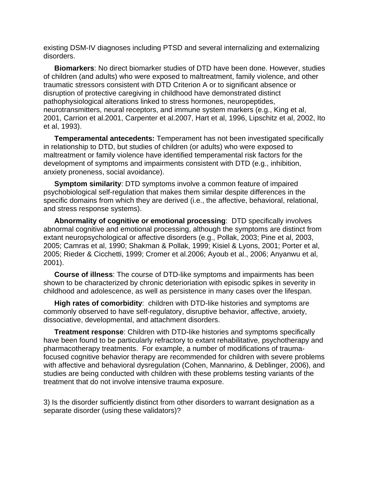existing DSM-IV diagnoses including PTSD and several internalizing and externalizing disorders.

**Biomarkers**: No direct biomarker studies of DTD have been done. However, studies of children (and adults) who were exposed to maltreatment, family violence, and other traumatic stressors consistent with DTD Criterion A or to significant absence or disruption of protective caregiving in childhood have demonstrated distinct pathophysiological alterations linked to stress hormones, neuropeptides, neurotransmitters, neural receptors, and immune system markers (e.g., King et al, 2001, Carrion et al.2001, Carpenter et al.2007, Hart et al, 1996, Lipschitz et al, 2002, Ito et al, 1993).

**Temperamental antecedents:** Temperament has not been investigated specifically in relationship to DTD, but studies of children (or adults) who were exposed to maltreatment or family violence have identified temperamental risk factors for the development of symptoms and impairments consistent with DTD (e.g., inhibition, anxiety proneness, social avoidance).

**Symptom similarity**: DTD symptoms involve a common feature of impaired psychobiological self-regulation that makes them similar despite differences in the specific domains from which they are derived (i.e., the affective, behavioral, relational, and stress response systems).

**Abnormality of cognitive or emotional processing**: DTD specifically involves abnormal cognitive and emotional processing, although the symptoms are distinct from extant neuropsychological or affective disorders (e.g., Pollak, 2003; Pine et al, 2003, 2005; Camras et al, 1990; Shakman & Pollak, 1999; Kisiel & Lyons, 2001; Porter et al, 2005; Rieder & Cicchetti, 1999; Cromer et al.2006; Ayoub et al., 2006; Anyanwu et al, 2001).

**Course of illness**: The course of DTD-like symptoms and impairments has been shown to be characterized by chronic deterioriation with episodic spikes in severity in childhood and adolescence, as well as persistence in many cases over the lifespan.

**High rates of comorbidity**: children with DTD-like histories and symptoms are commonly observed to have self-regulatory, disruptive behavior, affective, anxiety, dissociative, developmental, and attachment disorders.

**Treatment response**: Children with DTD-like histories and symptoms specifically have been found to be particularly refractory to extant rehabilitative, psychotherapy and pharmacotherapy treatments. For example, a number of modifications of traumafocused cognitive behavior therapy are recommended for children with severe problems with affective and behavioral dysregulation (Cohen, Mannarino, & Deblinger, 2006), and studies are being conducted with children with these problems testing variants of the treatment that do not involve intensive trauma exposure.

3) Is the disorder sufficiently distinct from other disorders to warrant designation as a separate disorder (using these validators)?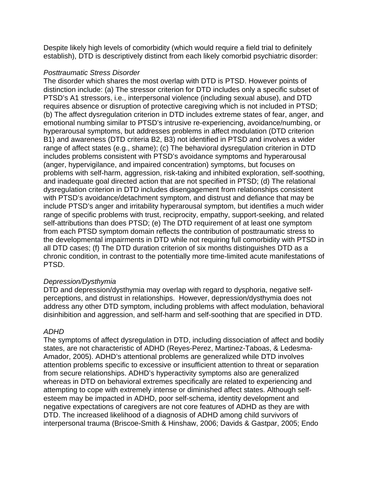Despite likely high levels of comorbidity (which would require a field trial to definitely establish), DTD is descriptively distinct from each likely comorbid psychiatric disorder:

# *Posttraumatic Stress Disorder*

The disorder which shares the most overlap with DTD is PTSD. However points of distinction include: (a) The stressor criterion for DTD includes only a specific subset of PTSD's A1 stressors, i.e., interpersonal violence (including sexual abuse), and DTD requires absence or disruption of protective caregiving which is not included in PTSD; (b) The affect dysregulation criterion in DTD includes extreme states of fear, anger, and emotional numbing similar to PTSD's intrusive re-experiencing, avoidance/numbing, or hyperarousal symptoms, but addresses problems in affect modulation (DTD criterion B1) and awareness (DTD criteria B2, B3) not identified in PTSD and involves a wider range of affect states (e.g., shame); (c) The behavioral dysregulation criterion in DTD includes problems consistent with PTSD's avoidance symptoms and hyperarousal (anger, hypervigilance, and impaired concentration) symptoms, but focuses on problems with self-harm, aggression, risk-taking and inhibited exploration, self-soothing, and inadequate goal directed action that are not specified in PTSD; (d) The relational dysregulation criterion in DTD includes disengagement from relationships consistent with PTSD's avoidance/detachment symptom, and distrust and defiance that may be include PTSD's anger and irritability hyperarousal symptom, but identifies a much wider range of specific problems with trust, reciprocity, empathy, support-seeking, and related self-attributions than does PTSD; (e) The DTD requirement of at least one symptom from each PTSD symptom domain reflects the contribution of posttraumatic stress to the developmental impairments in DTD while not requiring full comorbidity with PTSD in all DTD cases; (f) The DTD duration criterion of six months distinguishes DTD as a chronic condition, in contrast to the potentially more time-limited acute manifestations of PTSD.

## *Depression/Dysthymia*

DTD and depression/dysthymia may overlap with regard to dysphoria, negative selfperceptions, and distrust in relationships. However, depression/dysthymia does not address any other DTD symptom, including problems with affect modulation, behavioral disinhibition and aggression, and self-harm and self-soothing that are specified in DTD.

## *ADHD*

The symptoms of affect dysregulation in DTD, including dissociation of affect and bodily states, are not characteristic of ADHD (Reyes-Perez, Martinez-Taboas, & Ledesma-Amador, 2005). ADHD's attentional problems are generalized while DTD involves attention problems specific to excessive or insufficient attention to threat or separation from secure relationships. ADHD's hyperactivity symptoms also are generalized whereas in DTD on behavioral extremes specifically are related to experiencing and attempting to cope with extremely intense or diminished affect states. Although selfesteem may be impacted in ADHD, poor self-schema, identity development and negative expectations of caregivers are not core features of ADHD as they are with DTD. The increased likelihood of a diagnosis of ADHD among child survivors of interpersonal trauma (Briscoe-Smith & Hinshaw, 2006; Davids & Gastpar, 2005; Endo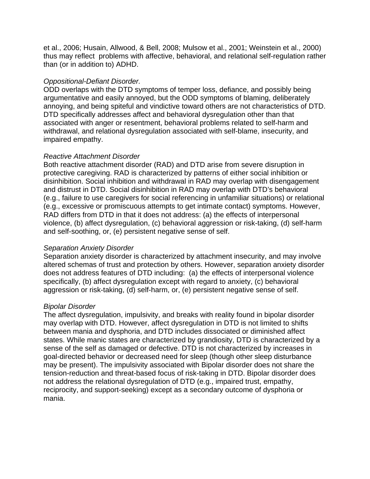et al., 2006; Husain, Allwood, & Bell, 2008; Mulsow et al., 2001; Weinstein et al., 2000) thus may reflect problems with affective, behavioral, and relational self-regulation rather than (or in addition to) ADHD.

# *Oppositional-Defiant Disorder.*

ODD overlaps with the DTD symptoms of temper loss, defiance, and possibly being argumentative and easily annoyed, but the ODD symptoms of blaming, deliberately annoying, and being spiteful and vindictive toward others are not characteristics of DTD. DTD specifically addresses affect and behavioral dysregulation other than that associated with anger or resentment, behavioral problems related to self-harm and withdrawal, and relational dysregulation associated with self-blame, insecurity, and impaired empathy.

# *Reactive Attachment Disorder*

Both reactive attachment disorder (RAD) and DTD arise from severe disruption in protective caregiving. RAD is characterized by patterns of either social inhibition or disinhibition. Social inhibition and withdrawal in RAD may overlap with disengagement and distrust in DTD. Social disinhibition in RAD may overlap with DTD's behavioral (e.g., failure to use caregivers for social referencing in unfamiliar situations) or relational (e.g., excessive or promiscuous attempts to get intimate contact) symptoms. However, RAD differs from DTD in that it does not address: (a) the effects of interpersonal violence, (b) affect dysregulation, (c) behavioral aggression or risk-taking, (d) self-harm and self-soothing, or, (e) persistent negative sense of self.

# *Separation Anxiety Disorder*

Separation anxiety disorder is characterized by attachment insecurity, and may involve altered schemas of trust and protection by others. However, separation anxiety disorder does not address features of DTD including: (a) the effects of interpersonal violence specifically, (b) affect dysregulation except with regard to anxiety, (c) behavioral aggression or risk-taking, (d) self-harm, or, (e) persistent negative sense of self.

# *Bipolar Disorder*

The affect dysregulation, impulsivity, and breaks with reality found in bipolar disorder may overlap with DTD. However, affect dysregulation in DTD is not limited to shifts between mania and dysphoria, and DTD includes dissociated or diminished affect states. While manic states are characterized by grandiosity, DTD is characterized by a sense of the self as damaged or defective. DTD is not characterized by increases in goal-directed behavior or decreased need for sleep (though other sleep disturbance may be present). The impulsivity associated with Bipolar disorder does not share the tension-reduction and threat-based focus of risk-taking in DTD. Bipolar disorder does not address the relational dysregulation of DTD (e.g., impaired trust, empathy, reciprocity, and support-seeking) except as a secondary outcome of dysphoria or mania.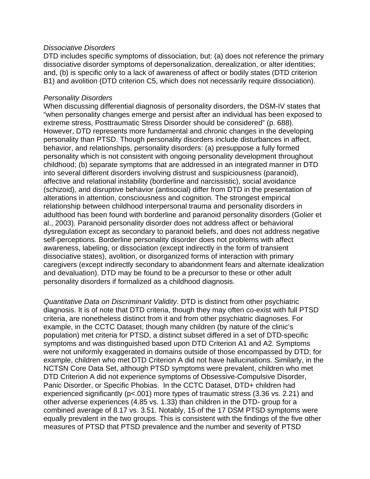### *Dissociative Disorders*

DTD includes specific symptoms of dissociation, but: (a) does not reference the primary dissociative disorder symptoms of depersonalization, derealization, or alter identities; and, (b) is specific only to a lack of awareness of affect or bodily states (DTD criterion B1) and avolition (DTD criterion C5, which does not necessarily require dissociation).

### *Personality Disorders*

When discussing differential diagnosis of personality disorders, the DSM-IV states that "when personality changes emerge and persist after an individual has been exposed to extreme stress, Posttraumatic Stress Disorder should be considered" (p. 688). However, DTD represents more fundamental and chronic changes in the developing personality than PTSD. Though personality disorders include disturbances in affect, behavior, and relationships, personality disorders: (a) presuppose a fully formed personality which is not consistent with ongoing personality development throughout childhood; (b) separate symptoms that are addressed in an integrated manner in DTD into several different disorders involving distrust and suspiciousness (paranoid), affective and relational instability (borderline and narcissistic), social avoidance (schizoid), and disruptive behavior (antisocial) differ from DTD in the presentation of alterations in attention, consciousness and cognition. The strongest empirical relationship between childhood interpersonal trauma and personality disorders in adulthood has been found with borderline and paranoid personality disorders (Golier et al., 2003). Paranoid personality disorder does not address affect or behavioral dysregulation except as secondary to paranoid beliefs, and does not address negative self-perceptions. Borderline personality disorder does not problems with affect awareness, labeling, or dissociation (except indirectly in the form of transient dissociative states), avolition, or disorganized forms of interaction with primary caregivers (except indirectly secondary to abandonment fears and alternate idealization and devaluation). DTD may be found to be a precursor to these or other adult personality disorders if formalized as a childhood diagnosis.

*Quantitative Data on Discriminant Validity*. DTD is distinct from other psychiatric diagnosis. It is of note that DTD criteria, though they may often co-exist with full PTSD criteria, are nonetheless distinct from it and from other psychiatric diagnoses. For example, in the CCTC Dataset, though many children (by nature of the clinic's population) met criteria for PTSD, a distinct subset differed in a set of DTD-specific symptoms and was distinguished based upon DTD Criterion A1 and A2. Symptoms were not uniformly exaggerated in domains outside of those encompassed by DTD; for example, children who met DTD Criterion A did not have hallucinations. Similarly, in the NCTSN Core Data Set, although PTSD symptoms were prevalent, children who met DTD Criterion A did not experience symptoms of Obsessive-Compulsive Disorder, Panic Disorder, or Specific Phobias. In the CCTC Dataset, DTD+ children had experienced significantly (p<.001) more types of traumatic stress (3.36 vs. 2.21) and other adverse experiences (4.85 vs. 1.33) than children in the DTD- group for a combined average of 8.17 vs. 3.51. Notably, 15 of the 17 DSM PTSD symptoms were equally prevalent in the two groups. This is consistent with the findings of the five other measures of PTSD that PTSD prevalence and the number and severity of PTSD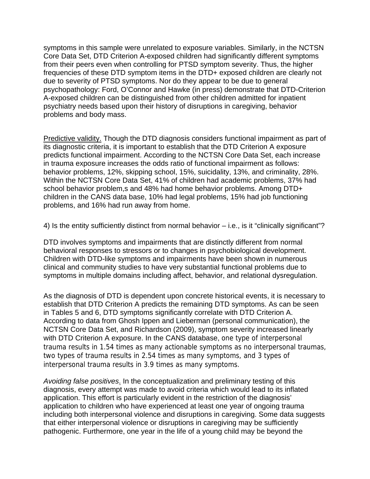symptoms in this sample were unrelated to exposure variables. Similarly, in the NCTSN Core Data Set, DTD Criterion A-exposed children had significantly different symptoms from their peers even when controlling for PTSD symptom severity. Thus, the higher frequencies of these DTD symptom items in the DTD+ exposed children are clearly not due to severity of PTSD symptoms. Nor do they appear to be due to general psychopathology: Ford, O'Connor and Hawke (in press) demonstrate that DTD-Criterion A-exposed children can be distinguished from other children admitted for inpatient psychiatry needs based upon their history of disruptions in caregiving, behavior problems and body mass.

Predictive validity. Though the DTD diagnosis considers functional impairment as part of its diagnostic criteria, it is important to establish that the DTD Criterion A exposure predicts functional impairment. According to the NCTSN Core Data Set, each increase in trauma exposure increases the odds ratio of functional impairment as follows: behavior problems, 12%, skipping school, 15%, suicidality, 13%, and criminality, 28%. Within the NCTSN Core Data Set, 41% of children had academic problems, 37% had school behavior problem,s and 48% had home behavior problems. Among DTD+ children in the CANS data base, 10% had legal problems, 15% had job functioning problems, and 16% had run away from home.

4) Is the entity sufficiently distinct from normal behavior – i.e., is it "clinically significant"?

DTD involves symptoms and impairments that are distinctly different from normal behavioral responses to stressors or to changes in psychobiological development. Children with DTD-like symptoms and impairments have been shown in numerous clinical and community studies to have very substantial functional problems due to symptoms in multiple domains including affect, behavior, and relational dysregulation.

As the diagnosis of DTD is dependent upon concrete historical events, it is necessary to establish that DTD Criterion A predicts the remaining DTD symptoms. As can be seen in Tables 5 and 6, DTD symptoms significantly correlate with DTD Criterion A. According to data from Ghosh Ippen and Lieberman (personal communication), the NCTSN Core Data Set, and Richardson (2009), symptom severity increased linearly with DTD Criterion A exposure. In the CANS database, one type of interpersonal trauma results in 1.54 times as many actionable symptoms as no interpersonal traumas, two types of trauma results in 2.54 times as many symptoms, and 3 types of interpersonal trauma results in 3.9 times as many symptoms.

*Avoiding false positives*. In the conceptualization and preliminary testing of this diagnosis, every attempt was made to avoid criteria which would lead to its inflated application. This effort is particularly evident in the restriction of the diagnosis' application to children who have experienced at least one year of ongoing trauma including both interpersonal violence and disruptions in caregiving. Some data suggests that either interpersonal violence or disruptions in caregiving may be sufficiently pathogenic. Furthermore, one year in the life of a young child may be beyond the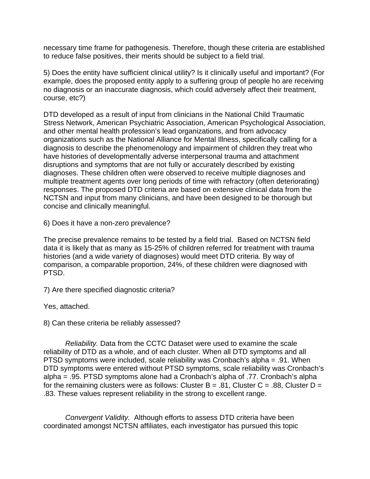necessary time frame for pathogenesis. Therefore, though these criteria are established to reduce false positives, their merits should be subject to a field trial.

5) Does the entity have sufficient clinical utility? Is it clinically useful and important? (For example, does the proposed entity apply to a suffering group of people ho are receiving no diagnosis or an inaccurate diagnosis, which could adversely affect their treatment, course, etc?)

DTD developed as a result of input from clinicians in the National Child Traumatic Stress Network, American Psychiatric Association, American Psychological Association, and other mental health profession's lead organizations, and from advocacy organizations such as the National Alliance for Mental Illness, specifically calling for a diagnosis to describe the phenomenology and impairment of children they treat who have histories of developmentally adverse interpersonal trauma and attachment disruptions and symptoms that are not fully or accurately described by existing diagnoses. These children often were observed to receive multiple diagnoses and multiple treatment agents over long periods of time with refractory (often deteriorating) responses. The proposed DTD criteria are based on extensive clinical data from the NCTSN and input from many clinicians, and have been designed to be thorough but concise and clinically meaningful.

6) Does it have a non-zero prevalence?

The precise prevalence remains to be tested by a field trial. Based on NCTSN field data it is likely that as many as 15-25% of children referred for treatment with trauma histories (and a wide variety of diagnoses) would meet DTD criteria. By way of comparison, a comparable proportion, 24%, of these children were diagnosed with PTSD.

7) Are there specified diagnostic criteria?

Yes, attached.

8) Can these criteria be reliably assessed?

*Reliability.* Data from the CCTC Dataset were used to examine the scale reliability of DTD as a whole, and of each cluster. When all DTD symptoms and all PTSD symptoms were included, scale reliability was Cronbach's alpha = .91. When DTD symptoms were entered without PTSD symptoms, scale reliability was Cronbach's alpha = .95. PTSD symptoms alone had a Cronbach's alpha of .77. Cronbach's alpha for the remaining clusters were as follows: Cluster B = .81, Cluster C = .88, Cluster D = .83. These values represent reliability in the strong to excellent range.

*Convergent Validity.* Although efforts to assess DTD criteria have been coordinated amongst NCTSN affiliates, each investigator has pursued this topic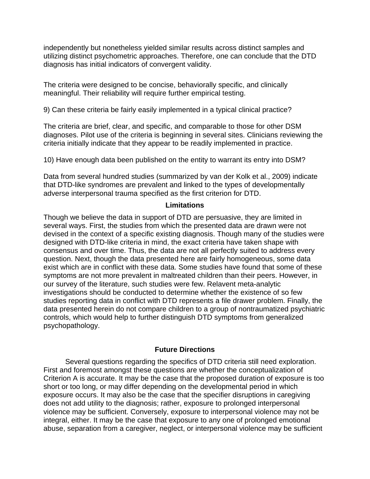independently but nonetheless yielded similar results across distinct samples and utilizing distinct psychometric approaches. Therefore, one can conclude that the DTD diagnosis has initial indicators of convergent validity.

The criteria were designed to be concise, behaviorally specific, and clinically meaningful. Their reliability will require further empirical testing.

9) Can these criteria be fairly easily implemented in a typical clinical practice?

The criteria are brief, clear, and specific, and comparable to those for other DSM diagnoses. Pilot use of the criteria is beginning in several sites. Clinicians reviewing the criteria initially indicate that they appear to be readily implemented in practice.

10) Have enough data been published on the entity to warrant its entry into DSM?

Data from several hundred studies (summarized by van der Kolk et al., 2009) indicate that DTD-like syndromes are prevalent and linked to the types of developmentally adverse interpersonal trauma specified as the first criterion for DTD.

### **Limitations**

Though we believe the data in support of DTD are persuasive, they are limited in several ways. First, the studies from which the presented data are drawn were not devised in the context of a specific existing diagnosis. Though many of the studies were designed with DTD-like criteria in mind, the exact criteria have taken shape with consensus and over time. Thus, the data are not all perfectly suited to address every question. Next, though the data presented here are fairly homogeneous, some data exist which are in conflict with these data. Some studies have found that some of these symptoms are not more prevalent in maltreated children than their peers. However, in our survey of the literature, such studies were few. Relavent meta-analytic investigations should be conducted to determine whether the existence of so few studies reporting data in conflict with DTD represents a file drawer problem. Finally, the data presented herein do not compare children to a group of nontraumatized psychiatric controls, which would help to further distinguish DTD symptoms from generalized psychopathology.

## **Future Directions**

Several questions regarding the specifics of DTD criteria still need exploration. First and foremost amongst these questions are whether the conceptualization of Criterion A is accurate. It may be the case that the proposed duration of exposure is too short or too long, or may differ depending on the developmental period in which exposure occurs. It may also be the case that the specifier disruptions in caregiving does not add utility to the diagnosis; rather, exposure to prolonged interpersonal violence may be sufficient. Conversely, exposure to interpersonal violence may not be integral, either. It may be the case that exposure to any one of prolonged emotional abuse, separation from a caregiver, neglect, or interpersonal violence may be sufficient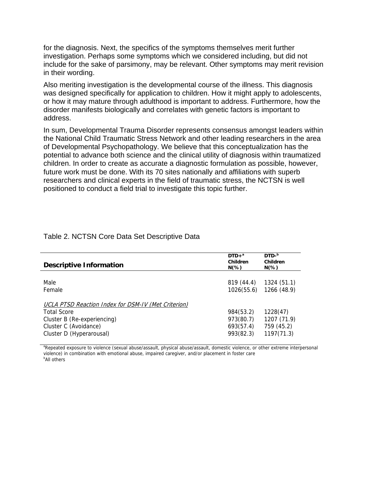for the diagnosis. Next, the specifics of the symptoms themselves merit further investigation. Perhaps some symptoms which we considered including, but did not include for the sake of parsimony, may be relevant. Other symptoms may merit revision in their wording.

Also meriting investigation is the developmental course of the illness. This diagnosis was designed specifically for application to children. How it might apply to adolescents, or how it may mature through adulthood is important to address. Furthermore, how the disorder manifests biologically and correlates with genetic factors is important to address.

In sum, Developmental Trauma Disorder represents consensus amongst leaders within the National Child Traumatic Stress Network and other leading researchers in the area of Developmental Psychopathology. We believe that this conceptualization has the potential to advance both science and the clinical utility of diagnosis within traumatized children. In order to create as accurate a diagnostic formulation as possible, however, future work must be done. With its 70 sites nationally and affiliations with superb researchers and clinical experts in the field of traumatic stress, the NCTSN is well positioned to conduct a field trial to investigate this topic further.

| <b>Descriptive Information</b>                      | $DTD+a$<br>Children<br>$N(\%)$ | $DTD-b$<br>Children<br>$N(\%)$ |
|-----------------------------------------------------|--------------------------------|--------------------------------|
|                                                     |                                |                                |
| Male<br>Female                                      | 819 (44.4)<br>1026(55.6)       | 1324 (51.1)<br>1266 (48.9)     |
|                                                     |                                |                                |
| UCLA PTSD Reaction Index for DSM-IV (Met Criterion) |                                |                                |
| <b>Total Score</b>                                  | 984(53.2)                      | 1228(47)                       |
| Cluster B (Re-experiencing)                         | 973(80.7)                      | 1207 (71.9)                    |
| Cluster C (Avoidance)                               | 693(57.4)                      | 759 (45.2)                     |
| Cluster D (Hyperarousal)                            | 993(82.3)                      | 1197(71.3)                     |

#### Table 2. NCTSN Core Data Set Descriptive Data

<sup>a</sup>Repeated exposure to violence (sexual abuse/assault, physical abuse/assault, domestic violence, or other extreme interpersonal violence) in combination with emotional abuse, impaired caregiver, and/or placement in foster care <sup>b</sup>All others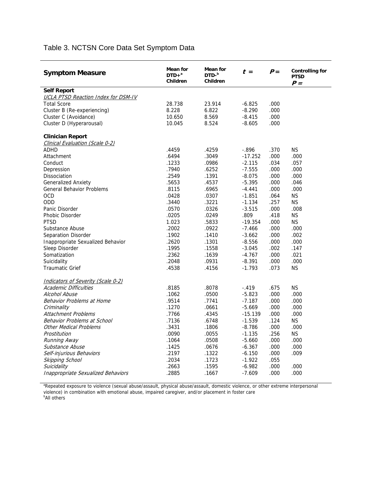# Table 3. NCTSN Core Data Set Symptom Data

| <b>Symptom Measure</b>                     | <b>Mean for</b><br>$DTD+a$<br>Children | Mean for<br>$DTD-b$<br>Children | $t =$     | $P =$ | <b>Controlling for</b><br><b>PTSD</b><br>$P =$ |
|--------------------------------------------|----------------------------------------|---------------------------------|-----------|-------|------------------------------------------------|
| <b>Self Report</b>                         |                                        |                                 |           |       |                                                |
| <b>UCLA PTSD Reaction Index for DSM-IV</b> |                                        |                                 |           |       |                                                |
| <b>Total Score</b>                         | 28.738                                 | 23.914                          | $-6.825$  | .000  |                                                |
| Cluster B (Re-experiencing)                | 8.228                                  | 6.822                           | $-8.290$  | .000  |                                                |
| Cluster C (Avoidance)                      | 10.650                                 | 8.569                           | $-8.415$  | .000  |                                                |
| Cluster D (Hyperarousal)                   | 10.045                                 | 8.524                           | $-8.605$  | .000  |                                                |
| <b>Clinician Report</b>                    |                                        |                                 |           |       |                                                |
| Clinical Evaluation (Scale 0-2)            |                                        |                                 |           |       |                                                |
| <b>ADHD</b>                                | .4459                                  | .4259                           | $-.896$   | .370  | <b>NS</b>                                      |
| Attachment                                 | .6494                                  | .3049                           | $-17.252$ | .000  | .000                                           |
| Conduct                                    | .1233                                  | .0986                           | $-2.115$  | .034  | .057                                           |
| Depression                                 | .7940                                  | .6252                           | $-7.555$  | .000  | .000                                           |
| Dissociation                               | .2549                                  | .1391                           | $-8.075$  | .000  | .000                                           |
| <b>Generalized Anxiety</b>                 | .5653                                  | .4537                           | $-5.395$  | .000  | .046                                           |
| <b>General Behavior Problems</b>           | .8115                                  | .6965                           | $-4.441$  | .000  | .000                                           |
| <b>OCD</b>                                 | .0428                                  | .0307                           | $-1.851$  | .064  | <b>NS</b>                                      |
| <b>ODD</b>                                 | .3440                                  | .3221                           | $-1.134$  | .257  | <b>NS</b>                                      |
| Panic Disorder                             | .0570                                  | .0326                           | $-3.515$  | .000  | .008                                           |
| Phobic Disorder                            | .0205                                  | .0249                           | .809      | .418  | <b>NS</b>                                      |
| <b>PTSD</b>                                | 1.023                                  | .5833                           | $-19.354$ | .000  | <b>NS</b>                                      |
| Substance Abuse                            | .2002                                  | .0922                           | $-7.466$  | .000  | .000                                           |
| Separation Disorder                        | .1902                                  | .1410                           | $-3.662$  | .000  | .002                                           |
| Inappropriate Sexualized Behavior          | .2620                                  | .1301                           | $-8.556$  | .000  | .000                                           |
| Sleep Disorder                             | .1995                                  | .1558                           | $-3.045$  | .002  | .147                                           |
| Somatization                               | .2362                                  | .1639                           | $-4.767$  | .000  | .021                                           |
| Suicidality                                | .2048                                  | .0931                           | $-8.391$  | .000  | .000                                           |
| <b>Traumatic Grief</b>                     | .4538                                  | .4156                           | $-1.793$  | .073  | <b>NS</b>                                      |
| <b>Indicators of Severity (Scale 0-2)</b>  |                                        |                                 |           |       |                                                |
| <b>Academic Difficulties</b>               | .8185                                  | .8078                           | $-.419$   | .675  | <b>NS</b>                                      |
| Alcohol Abuse                              | .1062                                  | .0500                           | $-5.823$  | .000  | .000                                           |
| Behavior Problems at Home                  | .9514                                  | .7741                           | $-7.187$  | .000  | .000                                           |
| Criminality                                | .1270                                  | .0661                           | $-5.669$  | .000  | .000                                           |
| Attachment Problems                        | .7766                                  | .4345                           | $-15.139$ | .000  | .000                                           |
| Behavior Problems at School                | .7136                                  | .6748                           | $-1.539$  | .124  | <b>NS</b>                                      |
| <b>Other Medical Problems</b>              | .3431                                  | .1806                           | $-8.786$  | .000  | .000                                           |
| Prostitution                               | .0090                                  | .0055                           | $-1.135$  | .256  | <b>NS</b>                                      |
| Running Away                               | .1064                                  | .0508                           | $-5.660$  | .000  | .000                                           |
| Substance Abuse                            | .1425                                  | .0676                           | $-6.367$  | .000  | .000                                           |
| Self-injurious Behaviors                   | .2197                                  | .1322                           | $-6.150$  | .000  | .009                                           |
| Skipping School                            | .2034                                  | .1723                           | $-1.922$  | .055  |                                                |
| Suicidality                                | .2663                                  | .1595                           | $-6.982$  | .000  | .000                                           |
| <b>Inappropriate Sexualized Behaviors</b>  | .2885                                  | .1667                           | $-7.609$  | .000  | .000                                           |

<sup>a</sup>Repeated exposure to violence (sexual abuse/assault, physical abuse/assault, domestic violence, or other extreme interpersonal violence) in combination with emotional abuse, impaired caregiver, and/or placement in foster care<br><sup>b</sup>All others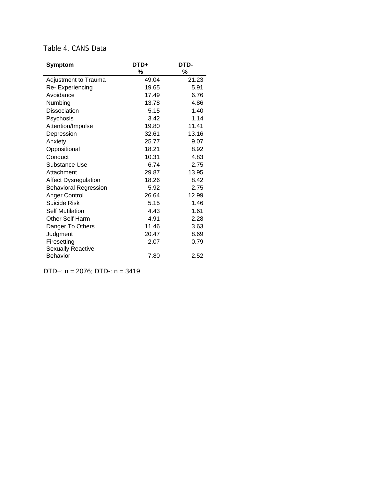| <b>Symptom</b>               | DTD+  | DTD-  |
|------------------------------|-------|-------|
|                              | %     | %     |
| Adjustment to Trauma         | 49.04 | 21.23 |
| Re-Experiencing              | 19.65 | 5.91  |
| Avoidance                    | 17.49 | 6.76  |
| Numbing                      | 13.78 | 4.86  |
| Dissociation                 | 5.15  | 1.40  |
| Psychosis                    | 3.42  | 1.14  |
| Attention/Impulse            | 19.80 | 11.41 |
| Depression                   | 32.61 | 13.16 |
| Anxiety                      | 25.77 | 9.07  |
| Oppositional                 | 18.21 | 8.92  |
| Conduct                      | 10.31 | 4.83  |
| Substance Use                | 6.74  | 2.75  |
| Attachment                   | 29.87 | 13.95 |
| <b>Affect Dysregulation</b>  | 18.26 | 8.42  |
| <b>Behavioral Regression</b> | 5.92  | 2.75  |
| Anger Control                | 26.64 | 12.99 |
| Suicide Risk                 | 5.15  | 1.46  |
| <b>Self Mutilation</b>       | 4.43  | 1.61  |
| <b>Other Self Harm</b>       | 4.91  | 2.28  |
| Danger To Others             | 11.46 | 3.63  |
| Judgment                     | 20.47 | 8.69  |
| Firesetting                  | 2.07  | 0.79  |
| <b>Sexually Reactive</b>     |       |       |
| <b>Behavior</b>              | 7.80  | 2.52  |

# Table 4. CANS Data

DTD+: n = 2076; DTD-: n = 3419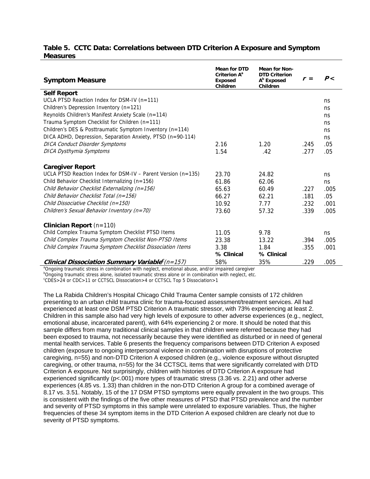#### **Table 5. CCTC Data: Correlations between DTD Criterion A Exposure and Symptom Measures**

| <b>Symptom Measure</b>                                                                             | <b>Mean for DTD</b><br>Criterion A <sup>a</sup><br><b>Exposed</b><br>Children | <b>Mean for Non-</b><br><b>DTD Criterion</b><br>A <sup>b</sup> Exposed<br>Children | $r =$ | P<   |  |
|----------------------------------------------------------------------------------------------------|-------------------------------------------------------------------------------|------------------------------------------------------------------------------------|-------|------|--|
| <b>Self Report</b>                                                                                 |                                                                               |                                                                                    |       |      |  |
| UCLA PTSD Reaction Index for DSM-IV ( $n=111$ )                                                    |                                                                               |                                                                                    |       | ns.  |  |
| Children's Depression Inventory (n=121)                                                            |                                                                               |                                                                                    |       | ns   |  |
| Reynolds Children's Manifest Anxiety Scale (n=114)                                                 |                                                                               |                                                                                    |       | ns.  |  |
| Trauma Symptom Checklist for Children (n=111)                                                      |                                                                               |                                                                                    |       | ns   |  |
| Children's DES & Posttraumatic Symptom Inventory (n=114)                                           |                                                                               |                                                                                    |       | ns.  |  |
| DICA ADHD, Depression, Separation Anxiety, PTSD (n=90-114)                                         |                                                                               |                                                                                    |       | ns.  |  |
| <b>DICA Conduct Disorder Symptoms</b>                                                              | 2.16                                                                          | 1.20                                                                               | .245  | .05  |  |
| DICA Dysthymia Symptoms                                                                            | 1.54                                                                          | .42                                                                                | .277  | .05  |  |
| <b>Caregiver Report</b>                                                                            |                                                                               |                                                                                    |       |      |  |
| UCLA PTSD Reaction Index for DSM-IV – Parent Version ( $n=135$ )                                   | 23.70                                                                         | 24.82                                                                              |       | ns   |  |
| Child Behavior Checklist Internalizing (n=156)                                                     | 61.86                                                                         | 62.06                                                                              |       | ns   |  |
| Child Behavior Checklist Externalizing (n=156)                                                     | 65.63                                                                         | 60.49                                                                              | .227  | .005 |  |
| Child Behavior Checklist Total (n=156)                                                             | 66.27                                                                         | 62.21                                                                              | .181  | .05  |  |
| Child Dissociative Checklist (n=150)                                                               | 10.92                                                                         | 7.77                                                                               | .232  | .001 |  |
| Children's Sexual Behavior Inventory (n=70)                                                        | 73.60                                                                         | 57.32                                                                              | .339  | .005 |  |
| <b>Clinician Report</b> $(n=110)$                                                                  |                                                                               |                                                                                    |       |      |  |
| Child Complex Trauma Symptom Checklist PTSD Items                                                  | 11.05                                                                         | 9.78                                                                               |       | ns   |  |
| Child Complex Trauma Symptom Checklist Non-PTSD Items                                              | 23.38                                                                         | 13.22                                                                              | .394  | .005 |  |
| Child Complex Trauma Symptom Checklist Dissociation Items                                          | 3.38                                                                          | 1.84                                                                               | .355  | .001 |  |
|                                                                                                    | % Clinical                                                                    | % Clinical                                                                         |       |      |  |
| Clinical Dissociation Summary Variable $c(n=157)$                                                  | 58%                                                                           | 35%                                                                                | .229  | .005 |  |
| a Ongoing traumatic stress in combination with neglect, emotional abuse, and/or impaired caregiver |                                                                               |                                                                                    |       |      |  |

<sup>b</sup>Ongoing traumatic stress alone, isolated traumatic stress alone or in combination with neglect, etc.

c CDES>24 or CDC>11 or CCTSCL Dissociation>4 or CCTSCL Top 5 Dissociation>1

The La Rabida Children's Hospital Chicago Child Trauma Center sample consists of 172 children presenting to an urban child trauma clinic for trauma-focused assessment/treatment services. All had experienced at least one DSM PTSD Criterion A traumatic stressor, with 73% experiencing at least 2. Children in this sample also had very high levels of exposure to other adverse experiences (e.g., neglect, emotional abuse, incarcerated parent), with 64% experiencing 2 or more. It should be noted that this sample differs from many traditional clinical samples in that children were referred because they had been exposed to trauma, not necessarily because they were identified as disturbed or in need of general mental health services. Table 6 presents the frequency comparisons between DTD Criterion A exposed children (exposure to ongoing interpersonal violence in combination with disruptions of protective caregiving, n=55) and non-DTD Criterion A exposed children (e.g., violence exposure without disrupted caregiving, or other trauma, n=55) for the 34 CCTSCL items that were significantly correlated with DTD Criterion A exposure. Not surprisingly, children with histories of DTD Criterion A exposure had experienced significantly ( $p$ <.001) more types of traumatic stress (3.36 vs. 2.21) and other adverse experiences (4.85 vs. 1.33) than children in the non-DTD Criterion A group for a combined average of 8.17 vs. 3.51. Notably, 15 of the 17 DSM PTSD symptoms were equally prevalent in the two groups. This is consistent with the findings of the five other measures of PTSD that PTSD prevalence and the number and severity of PTSD symptoms in this sample were unrelated to exposure variables. Thus, the higher frequencies of these 34 symptom items in the DTD Criterion A exposed children are clearly not due to severity of PTSD symptoms.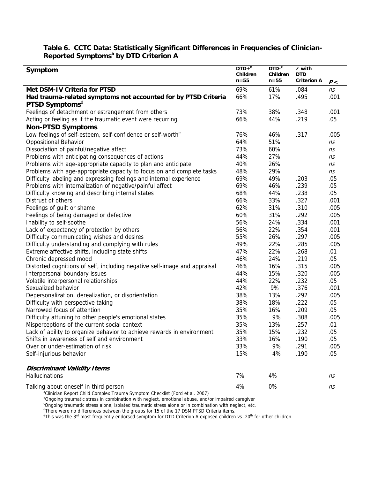#### **Table 6. CCTC Data: Statistically Significant Differences in Frequencies of Clinician-Reported Symptoms<sup>ª</sup> by DTD Criterion A**

| Symptom                                                                   | $DTD+^b$<br>Children<br>$n = 55$ | $DTD$ <sup>c</sup><br>Children<br>$n = 55$ | $r$ with<br>DTD<br><b>Criterion A</b> | P<   |
|---------------------------------------------------------------------------|----------------------------------|--------------------------------------------|---------------------------------------|------|
| Met DSM-IV Criteria for PTSD                                              | 69%                              | 61%                                        | .084                                  | ns   |
| Had trauma-related symptoms not accounted for by PTSD Criteria            | 66%                              | 17%                                        | .495                                  | .001 |
| PTSD Symptoms <sup>d</sup>                                                |                                  |                                            |                                       |      |
| Feelings of detachment or estrangement from others                        | 73%                              | 38%                                        | .348                                  | .001 |
| Acting or feeling as if the traumatic event were recurring                | 66%                              | 44%                                        | .219                                  | .05  |
| <b>Non-PTSD Symptoms</b>                                                  |                                  |                                            |                                       |      |
| Low feelings of self-esteem, self-confidence or self-worth <sup>e</sup>   | 76%                              | 46%                                        | .317                                  | .005 |
| <b>Oppositional Behavior</b>                                              | 64%                              | 51%                                        |                                       | ns   |
| Dissociation of painful/negative affect                                   | 73%                              | 60%                                        |                                       | ns   |
| Problems with anticipating consequences of actions                        | 44%                              | 27%                                        |                                       | ns   |
| Problems with age-appropriate capacity to plan and anticipate             | 40%                              | 26%                                        |                                       | ns   |
| Problems with age-appropriate capacity to focus on and complete tasks     | 48%                              | 29%                                        |                                       | ns   |
| Difficulty labeling and expressing feelings and internal experience       | 69%                              | 49%                                        | .203                                  | .05  |
| Problems with internalization of negative/painful affect                  | 69%                              | 46%                                        | .239                                  | .05  |
| Difficulty knowing and describing internal states                         | 68%                              | 44%                                        | .238                                  | .05  |
| Distrust of others                                                        | 66%                              | 33%                                        | .327                                  | .001 |
| Feelings of guilt or shame                                                | 62%                              | 31%                                        | .310                                  | .005 |
| Feelings of being damaged or defective                                    | 60%                              | 31%                                        | .292                                  | .005 |
| Inability to self-soothe                                                  | 56%                              | 24%                                        | .334                                  | .001 |
| Lack of expectancy of protection by others                                | 56%                              | 22%                                        | .354                                  | .001 |
| Difficulty communicating wishes and desires                               | 55%                              | 26%                                        | .297                                  | .005 |
| Difficulty understanding and complying with rules                         | 49%                              | 22%                                        | .285                                  | .005 |
| Extreme affective shifts, including state shifts                          | 47%                              | 22%                                        | .268                                  | .01  |
| Chronic depressed mood                                                    | 46%                              | 24%                                        | .219                                  | .05  |
| Distorted cognitions of self, including negative self-image and appraisal | 46%                              | 16%                                        | .315                                  | .005 |
| Interpersonal boundary issues                                             | 44%                              | 15%                                        | .320                                  | .005 |
| Volatile interpersonal relationships                                      | 44%                              | 22%                                        | .232                                  | .05  |
| Sexualized behavior                                                       | 42%                              | 9%                                         | .376                                  | .001 |
| Depersonalization, derealization, or disorientation                       | 38%                              | 13%                                        | .292                                  | .005 |
| Difficulty with perspective taking                                        | 38%                              | 18%                                        | .222                                  | .05  |
| Narrowed focus of attention                                               | 35%                              | 16%                                        | .209                                  | .05  |
| Difficulty attuning to other people's emotional states                    | 35%                              | 9%                                         | .308                                  | .005 |
| Misperceptions of the current social context                              | 35%                              | 13%                                        | .257                                  | .01  |
| Lack of ability to organize behavior to achieve rewards in environment    | 35%                              | 15%                                        | .232                                  | .05  |
| Shifts in awareness of self and environment                               | 33%                              | 16%                                        | .190                                  | .05  |
| Over or under-estimation of risk                                          | 33%                              | 9%                                         | .291                                  | .005 |
| Self-injurious behavior                                                   | 15%                              | 4%                                         | .190                                  | .05  |
| <b>Discriminant Validity Items</b>                                        |                                  |                                            |                                       |      |
| Hallucinations                                                            | 7%                               | 4%                                         |                                       | ns   |
| Talking about oneself in third person                                     | 4%                               | 0%                                         |                                       | ns   |

<sup>a</sup>Clinician Report Child Complex Trauma Symptom Checklist (Ford et al. 2007)

<sup>b</sup>Ongoing traumatic stress in combination with neglect, emotional abuse, and/or impaired caregiver<br><sup>c</sup>Ongoing traumatic stress alone, isolated traumatic stress alone or in combination with neglect, etc.

 $^d$ There were no differences between the groups for 15 of the 17 DSM PTSD Criteria items.<br><sup>e</sup>This was the 2<sup>rd</sup> mest frequently endersed symptom for DTD Criterian A expected children.

This was the 3<sup>rd</sup> most frequently endorsed symptom for DTD Criterion A exposed children vs. 20<sup>th</sup> for other children.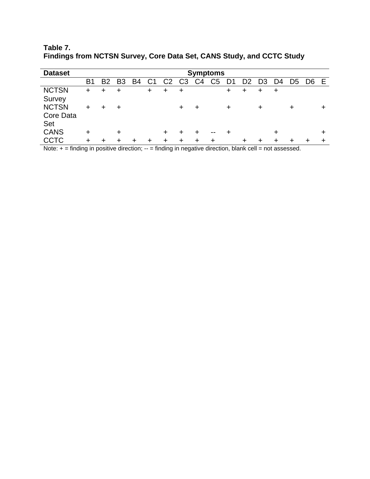| <b>Dataset</b> | <b>Symptoms</b> |                |                |           |                |                |                |                |                |        |    |    |    |                |                |    |
|----------------|-----------------|----------------|----------------|-----------|----------------|----------------|----------------|----------------|----------------|--------|----|----|----|----------------|----------------|----|
|                | Β1              | B <sub>2</sub> | B <sub>3</sub> | <b>B4</b> | C <sub>1</sub> | C <sub>2</sub> | C <sub>3</sub> | C <sub>4</sub> | C <sub>5</sub> | D1     | D2 | D3 | D4 | D <sub>5</sub> | D <sub>6</sub> | E. |
| <b>NCTSN</b>   | ÷               |                |                |           | $\ddot{}$      | +              | ÷              |                |                | ÷      |    |    |    |                |                |    |
| Survey         |                 |                |                |           |                |                |                |                |                |        |    |    |    |                |                |    |
| <b>NCTSN</b>   |                 |                |                |           |                |                | ٠              | ┿              |                | $\div$ |    |    |    |                |                |    |
| Core Data      |                 |                |                |           |                |                |                |                |                |        |    |    |    |                |                |    |
| Set            |                 |                |                |           |                |                |                |                |                |        |    |    |    |                |                |    |
| <b>CANS</b>    | ÷               |                | ÷              |           |                | +              | ٠              |                | --             |        |    |    |    |                |                |    |
| <b>CCTC</b>    | ٠               | ٠              | ٠              | ÷         | ٠              | ÷              | ÷              | ÷              |                |        | ÷  |    |    |                |                |    |

**Table 7. Findings from NCTSN Survey, Core Data Set, CANS Study, and CCTC Study** 

Note:  $+$  = finding in positive direction;  $-$  = finding in negative direction, blank cell = not assessed.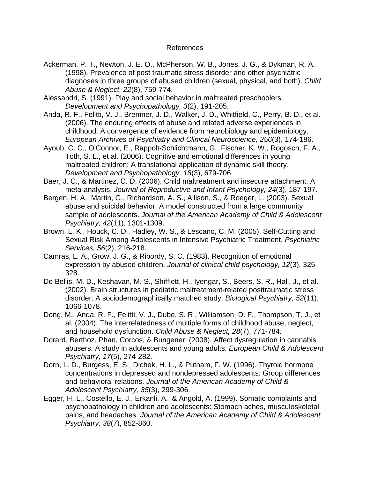### References

- Ackerman, P. T., Newton, J. E. O., McPherson, W. B., Jones, J. G., & Dykman, R. A. (1998). Prevalence of post traumatic stress disorder and other psychiatric diagnoses in three groups of abused children (sexual, physical, and both). *Child Abuse & Neglect, 22*(8), 759-774.
- Alessandri, S. (1991). Play and social behavior in maltreated preschoolers. *Development and Psychopathology, 3*(2), 191-205.
- Anda, R. F., Felitti, V. J., Bremner, J. D., Walker, J. D., Whitfield, C., Perry, B. D., et al. (2006). The enduring effects of abuse and related adverse experiences in childhood: A convergence of evidence from neurobiology and epidemiology. *European Archives of Psychiatry and Clinical Neuroscience, 256*(3), 174-186.
- Ayoub, C. C., O'Connor, E., Rappolt-Schlichtmann, G., Fischer, K. W., Rogosch, F. A., Toth, S. L., et al. (2006). Cognitive and emotional differences in young maltreated children: A translational application of dynamic skill theory. *Development and Psychopathology, 18*(3), 679-706.
- Baer, J. C., & Martinez, C. D. (2006). Child maltreatment and insecure attachment: A meta-analysis. *Journal of Reproductive and Infant Psychology, 24*(3), 187-197.
- Bergen, H. A., Martin, G., Richardson, A. S., Allison, S., & Roeger, L. (2003). Sexual abuse and suicidal behavior: A model constructed from a large community sample of adolescents. *Journal of the American Academy of Child & Adolescent Psychiatry, 42*(11), 1301-1309.
- Brown, L. K., Houck, C. D., Hadley, W. S., & Lescano, C. M. (2005). Self-Cutting and Sexual Risk Among Adolescents in Intensive Psychiatric Treatment. *Psychiatric Services, 56*(2), 216-218.
- Camras, L. A., Grow, J. G., & Ribordy, S. C. (1983). Recognition of emotional expression by abused children. *Journal of clinical child psychology, 12*(3), 325- 328.
- De Bellis, M. D., Keshavan, M. S., Shifflett, H., Iyengar, S., Beers, S. R., Hall, J., et al. (2002). Brain structures in pediatric maltreatment-related posttraumatic stress disorder: A sociodemographically matched study. *Biological Psychiatry, 52*(11), 1066-1078.
- Dong, M., Anda, R. F., Felitti, V. J., Dube, S. R., Williamson, D. F., Thompson, T. J., et al. (2004). The interrelatedness of multiple forms of childhood abuse, neglect, and household dysfunction. *Child Abuse & Neglect, 28*(7), 771-784.
- Dorard, Berthoz, Phan, Corcos, & Bungener. (2008). Affect dysregulation in cannabis abusers: A study in adolescents and young adults. *European Child & Adolescent Psychiatry, 17*(5), 274-282.
- Dorn, L. D., Burgess, E. S., Dichek, H. L., & Putnam, F. W. (1996). Thyroid hormone concentrations in depressed and nondepressed adolescents: Group differences and behavioral relations. *Journal of the American Academy of Child & Adolescent Psychiatry, 35*(3), 299-306.
- Egger, H. L., Costello, E. J., Erkanli, A., & Angold, A. (1999). Somatic complaints and psychopathology in children and adolescents: Stomach aches, musculoskeletal pains, and headaches. *Journal of the American Academy of Child & Adolescent Psychiatry, 38*(7), 852-860.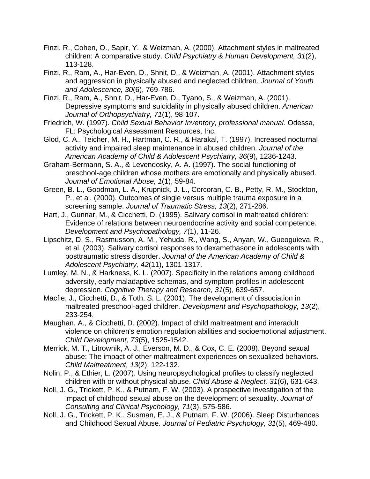- Finzi, R., Cohen, O., Sapir, Y., & Weizman, A. (2000). Attachment styles in maltreated children: A comparative study. *Child Psychiatry & Human Development, 31*(2), 113-128.
- Finzi, R., Ram, A., Har-Even, D., Shnit, D., & Weizman, A. (2001). Attachment styles and aggression in physically abused and neglected children. *Journal of Youth and Adolescence, 30*(6), 769-786.
- Finzi, R., Ram, A., Shnit, D., Har-Even, D., Tyano, S., & Weizman, A. (2001). Depressive symptoms and suicidality in physically abused children. *American Journal of Orthopsychiatry, 71*(1), 98-107.
- Friedrich, W. (1997). *Child Sexual Behavior Inventory, professional manual.* Odessa, FL: Psychological Assessment Resources, Inc.
- Glod, C. A., Teicher, M. H., Hartman, C. R., & Harakal, T. (1997). Increased nocturnal activity and impaired sleep maintenance in abused children. *Journal of the American Academy of Child & Adolescent Psychiatry, 36*(9), 1236-1243.
- Graham-Bermann, S. A., & Levendosky, A. A. (1997). The social functioning of preschool-age children whose mothers are emotionally and physically abused. *Journal of Emotional Abuse, 1*(1), 59-84.
- Green, B. L., Goodman, L. A., Krupnick, J. L., Corcoran, C. B., Petty, R. M., Stockton, P., et al. (2000). Outcomes of single versus multiple trauma exposure in a screening sample. *Journal of Traumatic Stress, 13*(2), 271-286.
- Hart, J., Gunnar, M., & Cicchetti, D. (1995). Salivary cortisol in maltreated children: Evidence of relations between neuroendocrine activity and social competence. *Development and Psychopathology, 7*(1), 11-26.
- Lipschitz, D. S., Rasmusson, A. M., Yehuda, R., Wang, S., Anyan, W., Gueoguieva, R., et al. (2003). Salivary cortisol responses to dexamethasone in adolescents with posttraumatic stress disorder. *Journal of the American Academy of Child & Adolescent Psychiatry, 42*(11), 1301-1317.
- Lumley, M. N., & Harkness, K. L. (2007). Specificity in the relations among childhood adversity, early maladaptive schemas, and symptom profiles in adolescent depression. *Cognitive Therapy and Research, 31*(5), 639-657.
- Macfie, J., Cicchetti, D., & Toth, S. L. (2001). The development of dissociation in maltreated preschool-aged children. *Development and Psychopathology, 13*(2), 233-254.
- Maughan, A., & Cicchetti, D. (2002). Impact of child maltreatment and interadult violence on children's emotion regulation abilities and socioemotional adjustment. *Child Development, 73*(5), 1525-1542.
- Merrick, M. T., Litrownik, A. J., Everson, M. D., & Cox, C. E. (2008). Beyond sexual abuse: The impact of other maltreatment experiences on sexualized behaviors. *Child Maltreatment, 13*(2), 122-132.
- Nolin, P., & Ethier, L. (2007). Using neuropsychological profiles to classify neglected children with or without physical abuse. *Child Abuse & Neglect, 31*(6), 631-643.
- Noll, J. G., Trickett, P. K., & Putnam, F. W. (2003). A prospective investigation of the impact of childhood sexual abuse on the development of sexuality. *Journal of Consulting and Clinical Psychology, 71*(3), 575-586.
- Noll, J. G., Trickett, P. K., Susman, E. J., & Putnam, F. W. (2006). Sleep Disturbances and Childhood Sexual Abuse. *Journal of Pediatric Psychology, 31*(5), 469-480.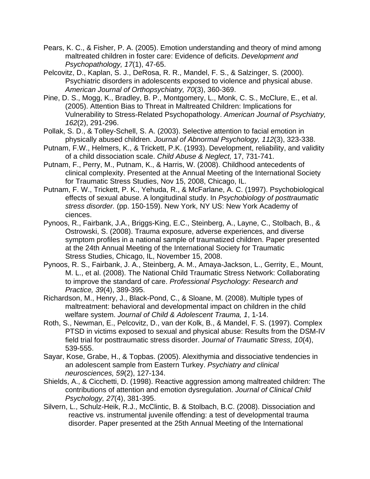- Pears, K. C., & Fisher, P. A. (2005). Emotion understanding and theory of mind among maltreated children in foster care: Evidence of deficits. *Development and Psychopathology, 17*(1), 47-65.
- Pelcovitz, D., Kaplan, S. J., DeRosa, R. R., Mandel, F. S., & Salzinger, S. (2000). Psychiatric disorders in adolescents exposed to violence and physical abuse. *American Journal of Orthopsychiatry, 70*(3), 360-369.
- Pine, D. S., Mogg, K., Bradley, B. P., Montgomery, L., Monk, C. S., McClure, E., et al. (2005). Attention Bias to Threat in Maltreated Children: Implications for Vulnerability to Stress-Related Psychopathology. *American Journal of Psychiatry, 162*(2), 291-296.
- Pollak, S. D., & Tolley-Schell, S. A. (2003). Selective attention to facial emotion in physically abused children. *Journal of Abnormal Psychology, 112*(3), 323-338.
- Putnam, F.W., Helmers, K., & Trickett, P.K. (1993). Development, reliability, and validity of a child dissociation scale. *Child Abuse & Neglect,* 17, 731-741.
- Putnam, F., Perry, M., Putnam, K., & Harris, W. (2008). Childhood antecedents of clinical complexity. Presented at the Annual Meeting of the International Society for Traumatic Stress Studies, Nov 15, 2008, Chicago, IL.
- Putnam, F. W., Trickett, P. K., Yehuda, R., & McFarlane, A. C. (1997). Psychobiological effects of sexual abuse. A longitudinal study. In *Psychobiology of posttraumatic stress disorder.* (pp. 150-159). New York, NY US: New York Academy of ciences.
- Pynoos, R., Fairbank, J.A., Briggs-King, E.C., Steinberg, A., Layne, C., Stolbach, B., & Ostrowski, S. (2008). Trauma exposure, adverse experiences, and diverse symptom profiles in a national sample of traumatized children. Paper presented at the 24th Annual Meeting of the International Society for Traumatic Stress Studies, Chicago, IL, November 15, 2008.
- Pynoos, R. S., Fairbank, J. A., Steinberg, A. M., Amaya-Jackson, L., Gerrity, E., Mount, M. L., et al. (2008). The National Child Traumatic Stress Network: Collaborating to improve the standard of care. *Professional Psychology: Research and Practice, 39*(4), 389-395.
- Richardson, M., Henry, J., Black-Pond, C., & Sloane, M. (2008). Multiple types of maltreatment: behavioral and developmental impact on children in the child welfare system. *Journal of Child & Adolescent Trauma, 1*, 1-14.
- Roth, S., Newman, E., Pelcovitz, D., van der Kolk, B., & Mandel, F. S. (1997). Complex PTSD in victims exposed to sexual and physical abuse: Results from the DSM-IV field trial for posttraumatic stress disorder. *Journal of Traumatic Stress, 10*(4), 539-555.
- Sayar, Kose, Grabe, H., & Topbas. (2005). Alexithymia and dissociative tendencies in an adolescent sample from Eastern Turkey. *Psychiatry and clinical neurosciences, 59*(2), 127-134.
- Shields, A., & Cicchetti, D. (1998). Reactive aggression among maltreated children: The contributions of attention and emotion dysregulation. *Journal of Clinical Child Psychology, 27*(4), 381-395.
- Silvern, L., Schulz-Heik, R.J., McClintic, B. & Stolbach, B.C. (2008). Dissociation and reactive vs. instrumental juvenile offending: a test of developmental trauma disorder. Paper presented at the 25th Annual Meeting of the International